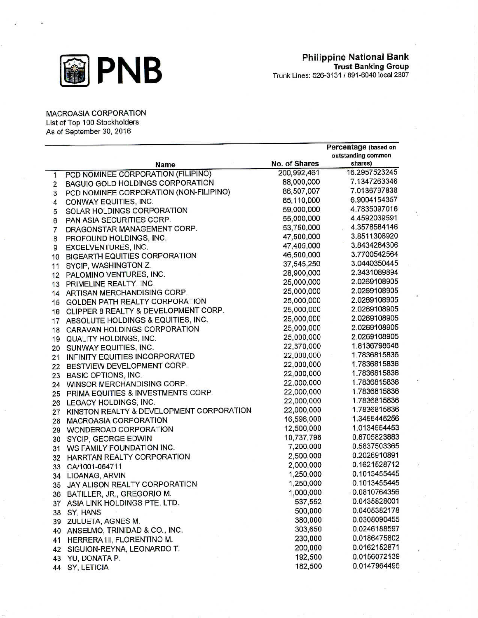

MACROASIA CORPORATION List of Top 100 Stockholders As of September 30, 2016

|                         |                                          |               | Percentage (based on<br>outstanding common |
|-------------------------|------------------------------------------|---------------|--------------------------------------------|
|                         | Name                                     | No. of Shares | shares)                                    |
| 1                       | PCD NOMINEE CORPORATION (FILIPINO)       | 200,992,461   | 16.2957523245                              |
| $\overline{\mathbf{c}}$ | BAGUIO GOLD HOLDINGS CORPORATION         | 88,000,000    | 7.1347263346                               |
| 3                       | PCD NOMINEE CORPORATION (NON-FILIPINO)   | 86,507,007    | 7.0136797838                               |
| 4                       | CONWAY EQUITIES, INC.                    | 85,110,000    | 6.9004154357                               |
| 5                       | SOLAR HOLDINGS CORPORATION               | 59,000,000    | 4.7835097016                               |
| 6                       | PAN ASIA SECURITIES CORP.                | 55,000,000    | 4.4592039591                               |
| 7                       | DRAGONSTAR MANAGEMENT CORP.              | 53,750,000    | 4.3578584146                               |
| 8                       | PROFOUND HOLDINGS, INC.                  | 47,500,000    | 3.8511306920                               |
| 9                       | EXCELVENTURES, INC.                      | 47,405,000    | 3.8434284306                               |
| 10                      | BIGEARTH EQUITIES CORPORATION            | 46,500,000    | 3.7700542564                               |
| 11                      | SYCIP, WASHINGTON Z.                     | 37,545,250    | 3.0440350445                               |
| 12                      | PALOMINO VENTURES, INC.                  | 28,900,000    | 2.3431089894                               |
| 13                      | PRIMELINE REALTY, INC.                   | 25,000,000    | 2.0269108905                               |
| 14                      | ARTISAN MERCHANDISING CORP.              | 25,000,000    | 2.0269108905                               |
| 15                      | GOLDEN PATH REALTY CORPORATION           | 25,000,000    | 2.0269108905                               |
| 16                      | CLIPPER 8 REALTY & DEVELOPMENT CORP.     | 25,000,000    | 2.0269108905                               |
| 17                      | ABSOLUTE HOLDINGS & EQUITIES, INC.       | 25,000,000    | 2.0269108905                               |
| 18                      | CARAVAN HOLDINGS CORPORATION             | 25,000,000    | 2.0269108905                               |
| 19                      | QUALITY HOLDINGS, INC.                   | 25,000,000    | 2.0269108905                               |
| 20                      | SUNWAY EQUITIES, INC.                    | 22,370,000    | 1.8136798648                               |
| 21                      | INFINITY EQUITIES INCORPORATED           | 22,000,000    | 1.7836815836                               |
| 22                      | BESTVIEW DEVELOPMENT CORP.               | 22,000,000    | 1.7836815836                               |
| 23                      | <b>BASIC OPTIONS, INC.</b>               | 22,000,000    | 1.7836815836                               |
| 24                      | WINSOR MERCHANDISING CORP.               | 22,000,000    | 1.7836815836                               |
| 25                      | PRIMA EQUITIES & INVESTMENTS CORP.       | 22,000,000    | 1.7836815836                               |
| 26                      | LEGACY HOLDINGS, INC.                    | 22,000,000    | 1.7836815836                               |
| 27                      | KINSTON REALTY & DEVELOPMENT CORPORATION | 22,000,000    | 1.7836815836                               |
| 28                      | MACROASIA CORPORATION                    | 16,596,000    | 1.3455445256                               |
| 29                      | WONDEROAD CORPORATION                    | 12,500,000    | 1.0134554453                               |
| 30                      | SYCIP, GEORGE EDWIN                      | 10,737,798    | 0.8705823883                               |
| 31                      | WS FAMILY FOUNDATION INC.                | 7,200,000     | 0.5837503365                               |
| 32                      | HARRTAN REALTY CORPORATION               | 2,500,000     | 0.2026910891                               |
| 33                      | CA/1001-064711                           | 2,000,000     | 0.1621528712                               |
| 34                      | LIOANAG, ARVIN                           | 1,250,000     | 0.1013455445                               |
| 35                      | JAY ALISON REALTY CORPORATION            | 1,250,000     | 0.1013455445                               |
| 36                      | BATILLER, JR., GREGORIO M.               | 1,000,000     | 0.0810764356                               |
| 37                      | ASIA LINK HOLDINGS PTE. LTD.             | 537,552       | 0.0435828001                               |
| 38                      | SY, HANS                                 | 500,000       | 0.0405382178                               |
| 39                      | ZULUETA, AGNES M.                        | 380,000       | 0.0308090455                               |
| 40                      | ANSELMO, TRINIDAD & CO., INC.            | 303,650       | 0.0246188597                               |
| 41                      | HERRERA III, FLORENTINO M.               | 230,000       | 0.0186475802                               |
| 42                      | SIGUION-REYNA, LEONARDO T.               | 200,000       | 0.0162152871                               |
|                         | 43 YU, DONATA P.                         | 192,500       | 0.0156072139                               |
|                         | 44 SY, LETICIA                           | 182,500       | 0.0147964495                               |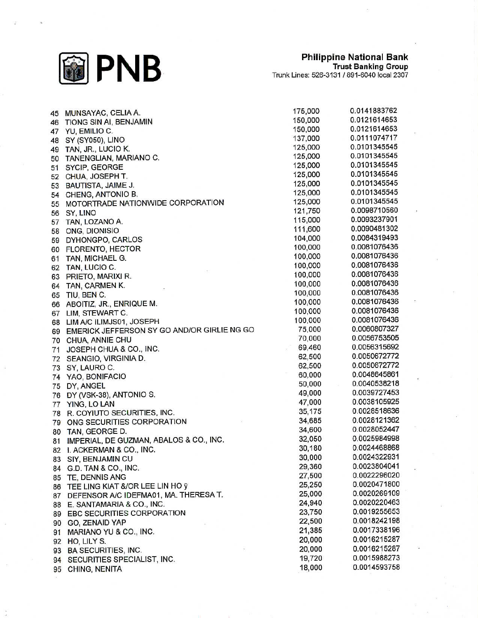

| 45 | MUNSAYAC, CELIA A.                          | 175,000 | 0.0141883762 |
|----|---------------------------------------------|---------|--------------|
| 46 | TIONG SIN AI, BENJAMIN                      | 150,000 | 0.0121614653 |
| 47 | YU, EMILIO C.                               | 150,000 | 0.0121614653 |
| 48 | SY (SY050), LINO                            | 137,000 | 0.0111074717 |
| 49 | TAN, JR., LUCIO K.                          | 125,000 | 0.0101345545 |
| 50 | TANENGLIAN, MARIANO C.                      | 125,000 | 0.0101345545 |
| 51 | SYCIP, GEORGE                               | 125,000 | 0.0101345545 |
| 52 | CHUA, JOSEPH T.                             | 125,000 | 0.0101345545 |
| 53 | BAUTISTA, JAIME J.                          | 125,000 | 0.0101345545 |
| 54 | CHENG, ANTONIO B.                           | 125,000 | 0.0101345545 |
| 55 | MOTORTRADE NATIONWIDE CORPORATION           | 125,000 | 0.0101345545 |
| 56 | SY, LINO                                    | 121,750 | 0.0098710560 |
| 57 | TAN, LOZANO A.                              | 115,000 | 0.0093237901 |
| 58 | ONG, DIONISIO                               | 111,600 | 0.0090481302 |
| 59 | DYHONGPO, CARLOS                            | 104,000 | 0.0084319493 |
| 60 | <b>FLORENTO, HECTOR</b>                     | 100,000 | 0.0081076436 |
| 61 | TAN, MICHAEL G.                             | 100,000 | 0.0081076436 |
|    | TAN, LUCIO C.                               | 100,000 | 0.0081076436 |
| 62 | PRIETO, MARIXI R.                           | 100,000 | 0.0081076436 |
| 63 |                                             | 100,000 | 0.0081076436 |
| 64 | TAN, CARMEN K.                              | 100,000 | 0.0081076436 |
| 65 | TIU, BEN C.                                 | 100,000 | 0.0081076436 |
| 66 | ABOITIZ, JR., ENRIQUE M.                    | 100,000 | 0.0081076436 |
| 67 | LIM, STEWART C.                             |         | 0.0081076436 |
| 68 | LIM A/C ILIMJS01, JOSEPH                    | 100,000 | 0.0060807327 |
| 69 | EMERICK JEFFERSON SY GO AND/OR GIRLIE NG GO | 75,000  |              |
| 70 | CHUA, ANNIE CHU                             | 70,000  | 0.0056753505 |
| 71 | JOSEPH CHUA & CO., INC.                     | 69,460  | 0.0056315692 |
| 72 | SEANGIO, VIRGINIA D.                        | 62,500  | 0.0050672772 |
| 73 | SY, LAURO C.                                | 62,500  | 0.0050672772 |
| 74 | YAO, BONIFACIO                              | 60,000  | 0.0048645861 |
| 75 | DY, ANGEL                                   | 50,000  | 0.0040538218 |
| 76 | DY (VSK-38), ANTONIO S.                     | 49,000  | 0.0039727453 |
| 77 | YING, LO LAN                                | 47,000  | 0.0038105925 |
| 78 | R. COYIUTO SECURITIES, INC.                 | 35,175  | 0.0028518636 |
|    | 79 ONG SECURITIES CORPORATION               | 34,685  | 0.0028121362 |
| 80 | TAN, GEORGE D.                              | 34,600  | 0.0028052447 |
| 81 | IMPERIAL, DE GUZMAN, ABALOS & CO., INC.     | 32,050  | 0.0025984998 |
| 82 | I. ACKERMAN & CO., INC.                     | 30,180  | 0.0024468868 |
|    | 83 SIY, BENJAMIN CU                         | 30,000  | 0.0024322931 |
| 84 | G.D. TAN & CO., INC.                        | 29,360  | 0.0023804041 |
| 85 | TE, DENNIS ANG                              | 27,500  | 0.0022296020 |
| 86 | TEE LING KIAT &/OR LEE LIN HO ÿ             | 25,250  | 0.0020471800 |
| 87 | DEFENSOR A/C IDEFMA01, MA. THERESA T.       | 25,000  | 0.0020269109 |
|    | E. SANTAMARIA & CO., INC.                   | 24,940  | 0.0020220463 |
| 88 | EBC SECURITIES CORPORATION                  | 23,750  | 0.0019255653 |
| 89 |                                             | 22,500  | 0.0018242198 |
| 90 | GO, ZENAID YAP                              | 21,385  | 0.0017338196 |
| 91 | MARIANO YU & CO., INC.                      |         | 0.0016215287 |
| 92 | HO, LILY S.                                 | 20,000  |              |
| 93 | <b>BA SECURITIES, INC.</b>                  | 20,000  | 0.0016215287 |
| 94 | SECURITIES SPECIALIST, INC.                 | 19,720  | 0.0015988273 |
| 95 | CHING, NENITA                               | 18,000  | 0.0014593758 |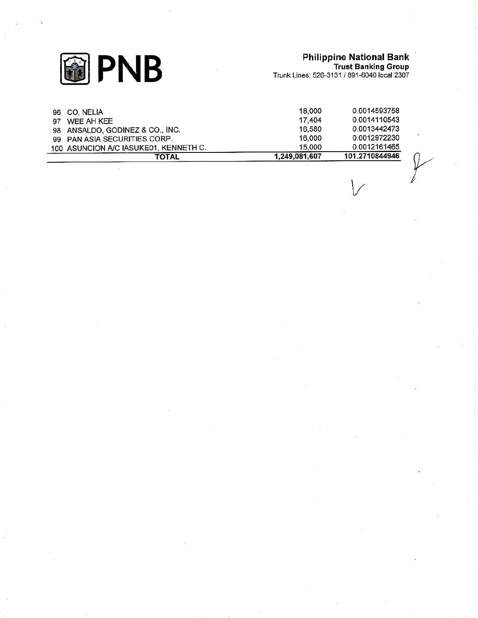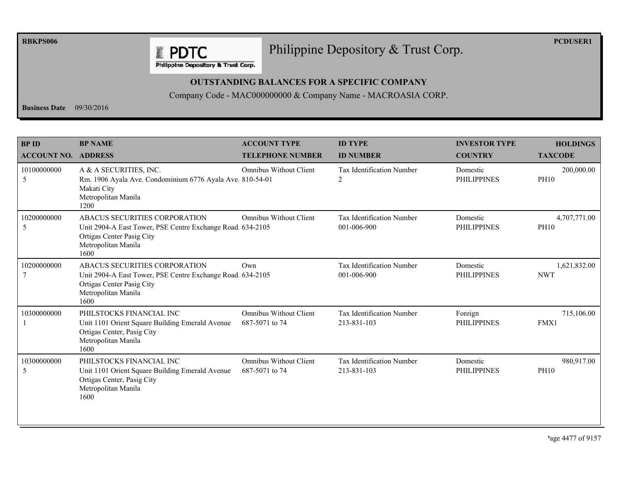**RBKPS006** 

## Philippine Depository & Trust Corp.

**PCDUSER1** 

Philippine Depository & Trust Corp.

**E PDTC** 

## **OUTSTANDING BALANCES FOR A SPECIFIC COMPANY**

Company Code - MAC000000000 & Company Name - MACROASIA CORP.

**Business Date**  $09/30/2016$ 

| <b>BPID</b>                | <b>BP NAME</b>                                                                                                                                          | <b>ACCOUNT TYPE</b>                             | <b>ID TYPE</b>                                  | <b>INVESTOR TYPE</b>           | <b>HOLDINGS</b>             |
|----------------------------|---------------------------------------------------------------------------------------------------------------------------------------------------------|-------------------------------------------------|-------------------------------------------------|--------------------------------|-----------------------------|
| <b>ACCOUNT NO. ADDRESS</b> |                                                                                                                                                         | <b>TELEPHONE NUMBER</b>                         | <b>ID NUMBER</b>                                | <b>COUNTRY</b>                 | <b>TAXCODE</b>              |
| 10100000000<br>5           | A & A SECURITIES, INC.<br>Rm. 1906 Ayala Ave. Condominium 6776 Ayala Ave. 810-54-01<br>Makati City<br>Metropolitan Manila<br>1200                       | <b>Omnibus Without Client</b>                   | <b>Tax Identification Number</b><br>2           | Domestic<br><b>PHILIPPINES</b> | 200,000.00<br><b>PH10</b>   |
| 10200000000<br>5           | ABACUS SECURITIES CORPORATION<br>Unit 2904-A East Tower, PSE Centre Exchange Road. 634-2105<br>Ortigas Center Pasig City<br>Metropolitan Manila<br>1600 | <b>Omnibus Without Client</b>                   | <b>Tax Identification Number</b><br>001-006-900 | Domestic<br><b>PHILIPPINES</b> | 4,707,771.00<br><b>PH10</b> |
| 10200000000                | ABACUS SECURITIES CORPORATION<br>Unit 2904-A East Tower, PSE Centre Exchange Road 634-2105<br>Ortigas Center Pasig City<br>Metropolitan Manila<br>1600  | Own                                             | Tax Identification Number<br>001-006-900        | Domestic<br><b>PHILIPPINES</b> | 1,621,832.00<br><b>NWT</b>  |
| 10300000000                | PHILSTOCKS FINANCIAL INC<br>Unit 1101 Orient Square Building Emerald Avenue<br>Ortigas Center, Pasig City<br>Metropolitan Manila<br>1600                | <b>Omnibus Without Client</b><br>687-5071 to 74 | Tax Identification Number<br>213-831-103        | Foreign<br><b>PHILIPPINES</b>  | 715,106.00<br>FMX1          |
| 10300000000<br>5           | PHILSTOCKS FINANCIAL INC<br>Unit 1101 Orient Square Building Emerald Avenue<br>Ortigas Center, Pasig City<br>Metropolitan Manila<br>1600                | Omnibus Without Client<br>687-5071 to 74        | Tax Identification Number<br>213-831-103        | Domestic<br><b>PHILIPPINES</b> | 980,917.00<br><b>PH10</b>   |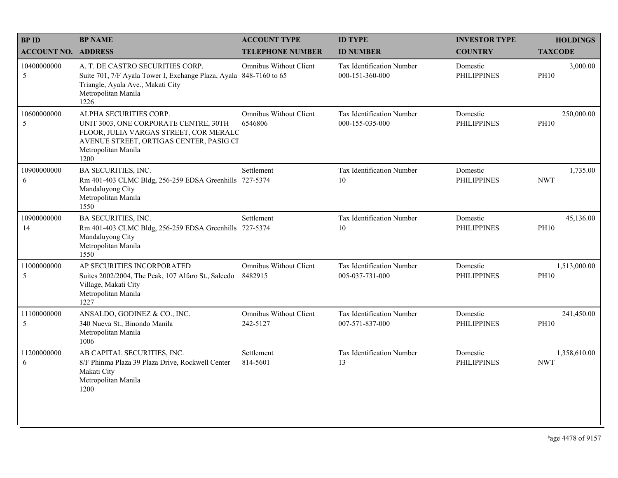| <b>BPID</b>                | <b>BP NAME</b>                                                                                                                                                                      | <b>ACCOUNT TYPE</b>                       | <b>ID TYPE</b>                                      | <b>INVESTOR TYPE</b>           | <b>HOLDINGS</b>             |
|----------------------------|-------------------------------------------------------------------------------------------------------------------------------------------------------------------------------------|-------------------------------------------|-----------------------------------------------------|--------------------------------|-----------------------------|
| <b>ACCOUNT NO. ADDRESS</b> |                                                                                                                                                                                     | <b>TELEPHONE NUMBER</b>                   | <b>ID NUMBER</b>                                    | <b>COUNTRY</b>                 | <b>TAXCODE</b>              |
| 10400000000<br>5           | A. T. DE CASTRO SECURITIES CORP.<br>Suite 701, 7/F Ayala Tower I, Exchange Plaza, Ayala 848-7160 to 65<br>Triangle, Ayala Ave., Makati City<br>Metropolitan Manila<br>1226          | <b>Omnibus Without Client</b>             | <b>Tax Identification Number</b><br>000-151-360-000 | Domestic<br><b>PHILIPPINES</b> | 3,000.00<br><b>PH10</b>     |
| 10600000000<br>5           | ALPHA SECURITIES CORP.<br>UNIT 3003, ONE CORPORATE CENTRE, 30TH<br>FLOOR, JULIA VARGAS STREET, COR MERALC<br>AVENUE STREET, ORTIGAS CENTER, PASIG CI<br>Metropolitan Manila<br>1200 | <b>Omnibus Without Client</b><br>6546806  | Tax Identification Number<br>000-155-035-000        | Domestic<br><b>PHILIPPINES</b> | 250,000.00<br><b>PH10</b>   |
| 10900000000<br>6           | <b>BA SECURITIES, INC.</b><br>Rm 401-403 CLMC Bldg, 256-259 EDSA Greenhills 727-5374<br>Mandaluyong City<br>Metropolitan Manila<br>1550                                             | Settlement                                | Tax Identification Number<br>10                     | Domestic<br><b>PHILIPPINES</b> | 1,735.00<br><b>NWT</b>      |
| 10900000000<br>14          | <b>BA SECURITIES, INC.</b><br>Rm 401-403 CLMC Bldg, 256-259 EDSA Greenhills 727-5374<br>Mandaluyong City<br>Metropolitan Manila<br>1550                                             | Settlement                                | Tax Identification Number<br>10                     | Domestic<br><b>PHILIPPINES</b> | 45,136.00<br><b>PH10</b>    |
| 11000000000<br>5           | AP SECURITIES INCORPORATED<br>Suites 2002/2004, The Peak, 107 Alfaro St., Salcedo<br>Village, Makati City<br>Metropolitan Manila<br>1227                                            | <b>Omnibus Without Client</b><br>8482915  | Tax Identification Number<br>005-037-731-000        | Domestic<br><b>PHILIPPINES</b> | 1,513,000.00<br><b>PH10</b> |
| 11100000000<br>5           | ANSALDO, GODINEZ & CO., INC.<br>340 Nueva St., Binondo Manila<br>Metropolitan Manila<br>1006                                                                                        | <b>Omnibus Without Client</b><br>242-5127 | Tax Identification Number<br>007-571-837-000        | Domestic<br><b>PHILIPPINES</b> | 241,450.00<br><b>PH10</b>   |
| 11200000000<br>6           | AB CAPITAL SECURITIES, INC.<br>8/F Phinma Plaza 39 Plaza Drive, Rockwell Center<br>Makati City<br>Metropolitan Manila<br>1200                                                       | Settlement<br>814-5601                    | Tax Identification Number<br>13                     | Domestic<br><b>PHILIPPINES</b> | 1,358,610.00<br><b>NWT</b>  |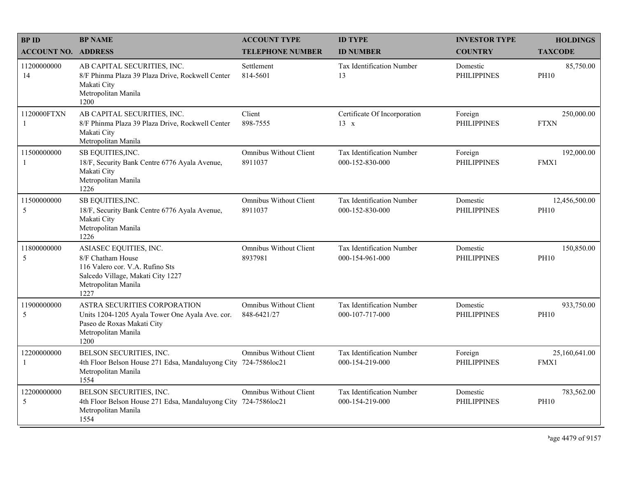| <b>BPID</b>                   | <b>BP NAME</b>                                                                                                                                     | <b>ACCOUNT TYPE</b>                            | <b>ID TYPE</b>                               | <b>INVESTOR TYPE</b>           | <b>HOLDINGS</b>              |
|-------------------------------|----------------------------------------------------------------------------------------------------------------------------------------------------|------------------------------------------------|----------------------------------------------|--------------------------------|------------------------------|
| <b>ACCOUNT NO. ADDRESS</b>    |                                                                                                                                                    | <b>TELEPHONE NUMBER</b>                        | <b>ID NUMBER</b>                             | <b>COUNTRY</b>                 | <b>TAXCODE</b>               |
| 11200000000<br>14             | AB CAPITAL SECURITIES, INC.<br>8/F Phinma Plaza 39 Plaza Drive, Rockwell Center<br>Makati City<br>Metropolitan Manila<br>1200                      | Settlement<br>814-5601                         | <b>Tax Identification Number</b><br>13       | Domestic<br><b>PHILIPPINES</b> | 85,750.00<br><b>PH10</b>     |
| 1120000FTXN<br>$\overline{1}$ | AB CAPITAL SECURITIES, INC.<br>8/F Phinma Plaza 39 Plaza Drive, Rockwell Center<br>Makati City<br>Metropolitan Manila                              | Client<br>898-7555                             | Certificate Of Incorporation<br>$13 \times$  | Foreign<br><b>PHILIPPINES</b>  | 250,000.00<br><b>FTXN</b>    |
| 11500000000<br>-1             | SB EQUITIES, INC.<br>18/F, Security Bank Centre 6776 Ayala Avenue,<br>Makati City<br>Metropolitan Manila<br>1226                                   | <b>Omnibus Without Client</b><br>8911037       | Tax Identification Number<br>000-152-830-000 | Foreign<br><b>PHILIPPINES</b>  | 192,000.00<br>FMX1           |
| 11500000000<br>5              | SB EQUITIES, INC.<br>18/F, Security Bank Centre 6776 Ayala Avenue,<br>Makati City<br>Metropolitan Manila<br>1226                                   | <b>Omnibus Without Client</b><br>8911037       | Tax Identification Number<br>000-152-830-000 | Domestic<br><b>PHILIPPINES</b> | 12,456,500.00<br><b>PH10</b> |
| 11800000000<br>5              | ASIASEC EQUITIES, INC.<br>8/F Chatham House<br>116 Valero cor. V.A. Rufino Sts<br>Salcedo Village, Makati City 1227<br>Metropolitan Manila<br>1227 | <b>Omnibus Without Client</b><br>8937981       | Tax Identification Number<br>000-154-961-000 | Domestic<br><b>PHILIPPINES</b> | 150,850.00<br><b>PH10</b>    |
| 11900000000<br>5              | ASTRA SECURITIES CORPORATION<br>Units 1204-1205 Ayala Tower One Ayala Ave. cor.<br>Paseo de Roxas Makati City<br>Metropolitan Manila<br>1200       | <b>Omnibus Without Client</b><br>848-6421/27   | Tax Identification Number<br>000-107-717-000 | Domestic<br><b>PHILIPPINES</b> | 933,750.00<br><b>PH10</b>    |
| 12200000000<br>-1             | BELSON SECURITIES, INC.<br>4th Floor Belson House 271 Edsa, Mandaluyong City 724-7586loc21<br>Metropolitan Manila<br>1554                          | <b>Omnibus Without Client</b>                  | Tax Identification Number<br>000-154-219-000 | Foreign<br><b>PHILIPPINES</b>  | 25,160,641.00<br>FMX1        |
| 12200000000<br>5              | BELSON SECURITIES, INC.<br>4th Floor Belson House 271 Edsa, Mandaluyong City<br>Metropolitan Manila<br>1554                                        | <b>Omnibus Without Client</b><br>724-7586loc21 | Tax Identification Number<br>000-154-219-000 | Domestic<br><b>PHILIPPINES</b> | 783,562.00<br><b>PH10</b>    |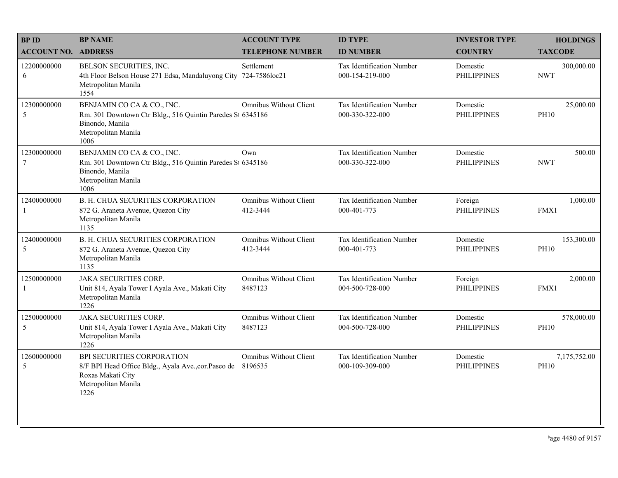| <b>BPID</b>                | <b>BP NAME</b>                                                                                                                             | <b>ACCOUNT TYPE</b>                       | <b>ID TYPE</b>                                      | <b>INVESTOR TYPE</b>           | <b>HOLDINGS</b>             |
|----------------------------|--------------------------------------------------------------------------------------------------------------------------------------------|-------------------------------------------|-----------------------------------------------------|--------------------------------|-----------------------------|
| <b>ACCOUNT NO. ADDRESS</b> |                                                                                                                                            | <b>TELEPHONE NUMBER</b>                   | <b>ID NUMBER</b>                                    | <b>COUNTRY</b>                 | <b>TAXCODE</b>              |
| 12200000000<br>6           | BELSON SECURITIES, INC.<br>4th Floor Belson House 271 Edsa, Mandaluyong City<br>Metropolitan Manila<br>1554                                | Settlement<br>724-7586loc21               | <b>Tax Identification Number</b><br>000-154-219-000 | Domestic<br><b>PHILIPPINES</b> | 300,000.00<br><b>NWT</b>    |
| 12300000000<br>5           | BENJAMIN CO CA & CO., INC.<br>Rm. 301 Downtown Ctr Bldg., 516 Quintin Paredes St 6345186<br>Binondo, Manila<br>Metropolitan Manila<br>1006 | <b>Omnibus Without Client</b>             | Tax Identification Number<br>000-330-322-000        | Domestic<br><b>PHILIPPINES</b> | 25,000.00<br><b>PH10</b>    |
| 12300000000<br>$\tau$      | BENJAMIN CO CA & CO., INC.<br>Rm. 301 Downtown Ctr Bldg., 516 Quintin Paredes St 6345186<br>Binondo, Manila<br>Metropolitan Manila<br>1006 | Own                                       | Tax Identification Number<br>000-330-322-000        | Domestic<br><b>PHILIPPINES</b> | 500.00<br><b>NWT</b>        |
| 12400000000<br>-1          | <b>B. H. CHUA SECURITIES CORPORATION</b><br>872 G. Araneta Avenue, Quezon City<br>Metropolitan Manila<br>1135                              | <b>Omnibus Without Client</b><br>412-3444 | Tax Identification Number<br>000-401-773            | Foreign<br><b>PHILIPPINES</b>  | 1,000.00<br>FMX1            |
| 12400000000<br>5           | <b>B. H. CHUA SECURITIES CORPORATION</b><br>872 G. Araneta Avenue, Quezon City<br>Metropolitan Manila<br>1135                              | <b>Omnibus Without Client</b><br>412-3444 | Tax Identification Number<br>000-401-773            | Domestic<br><b>PHILIPPINES</b> | 153,300.00<br><b>PH10</b>   |
| 12500000000<br>-1          | <b>JAKA SECURITIES CORP.</b><br>Unit 814, Ayala Tower I Ayala Ave., Makati City<br>Metropolitan Manila<br>1226                             | <b>Omnibus Without Client</b><br>8487123  | Tax Identification Number<br>004-500-728-000        | Foreign<br><b>PHILIPPINES</b>  | 2,000.00<br>FMX1            |
| 12500000000<br>5           | <b>JAKA SECURITIES CORP.</b><br>Unit 814, Ayala Tower I Ayala Ave., Makati City<br>Metropolitan Manila<br>1226                             | <b>Omnibus Without Client</b><br>8487123  | Tax Identification Number<br>004-500-728-000        | Domestic<br><b>PHILIPPINES</b> | 578,000.00<br><b>PH10</b>   |
| 12600000000<br>5           | BPI SECURITIES CORPORATION<br>8/F BPI Head Office Bldg., Ayala Ave., cor. Paseo de<br>Roxas Makati City<br>Metropolitan Manila<br>1226     | <b>Omnibus Without Client</b><br>8196535  | Tax Identification Number<br>000-109-309-000        | Domestic<br><b>PHILIPPINES</b> | 7,175,752.00<br><b>PH10</b> |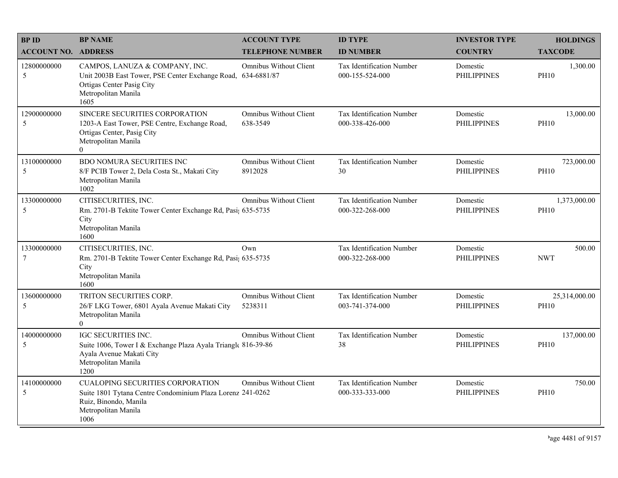| <b>BPID</b>                | <b>BP NAME</b>                                                                                                                                                | <b>ACCOUNT TYPE</b>                       | <b>ID TYPE</b>                                      | <b>INVESTOR TYPE</b>           | <b>HOLDINGS</b>              |
|----------------------------|---------------------------------------------------------------------------------------------------------------------------------------------------------------|-------------------------------------------|-----------------------------------------------------|--------------------------------|------------------------------|
| <b>ACCOUNT NO. ADDRESS</b> |                                                                                                                                                               | <b>TELEPHONE NUMBER</b>                   | <b>ID NUMBER</b>                                    | <b>COUNTRY</b>                 | <b>TAXCODE</b>               |
| 12800000000<br>5           | CAMPOS, LANUZA & COMPANY, INC.<br>Unit 2003B East Tower, PSE Center Exchange Road, 634-6881/87<br>Ortigas Center Pasig City<br>Metropolitan Manila<br>1605    | <b>Omnibus Without Client</b>             | <b>Tax Identification Number</b><br>000-155-524-000 | Domestic<br><b>PHILIPPINES</b> | 1,300.00<br><b>PH10</b>      |
| 12900000000<br>5           | SINCERE SECURITIES CORPORATION<br>1203-A East Tower, PSE Centre, Exchange Road,<br>Ortigas Center, Pasig City<br>Metropolitan Manila<br>$\overline{0}$        | <b>Omnibus Without Client</b><br>638-3549 | <b>Tax Identification Number</b><br>000-338-426-000 | Domestic<br><b>PHILIPPINES</b> | 13,000.00<br><b>PH10</b>     |
| 13100000000<br>5           | BDO NOMURA SECURITIES INC<br>8/F PCIB Tower 2, Dela Costa St., Makati City<br>Metropolitan Manila<br>1002                                                     | <b>Omnibus Without Client</b><br>8912028  | Tax Identification Number<br>30                     | Domestic<br><b>PHILIPPINES</b> | 723,000.00<br><b>PH10</b>    |
| 13300000000<br>5           | CITISECURITIES, INC.<br>Rm. 2701-B Tektite Tower Center Exchange Rd, Pasi; 635-5735<br>City<br>Metropolitan Manila<br>1600                                    | <b>Omnibus Without Client</b>             | Tax Identification Number<br>000-322-268-000        | Domestic<br><b>PHILIPPINES</b> | 1,373,000.00<br><b>PH10</b>  |
| 13300000000<br>7           | CITISECURITIES, INC.<br>Rm. 2701-B Tektite Tower Center Exchange Rd, Pasi; 635-5735<br>City<br>Metropolitan Manila<br>1600                                    | Own                                       | Tax Identification Number<br>000-322-268-000        | Domestic<br><b>PHILIPPINES</b> | 500.00<br><b>NWT</b>         |
| 13600000000<br>5           | TRITON SECURITIES CORP.<br>26/F LKG Tower, 6801 Ayala Avenue Makati City<br>Metropolitan Manila<br>$\overline{0}$                                             | <b>Omnibus Without Client</b><br>5238311  | Tax Identification Number<br>003-741-374-000        | Domestic<br><b>PHILIPPINES</b> | 25,314,000.00<br><b>PH10</b> |
| 14000000000<br>5           | <b>IGC SECURITIES INC.</b><br>Suite 1006, Tower I & Exchange Plaza Ayala Triangle 816-39-86<br>Ayala Avenue Makati City<br>Metropolitan Manila<br>1200        | <b>Omnibus Without Client</b>             | Tax Identification Number<br>38                     | Domestic<br><b>PHILIPPINES</b> | 137,000.00<br><b>PH10</b>    |
| 14100000000<br>5           | <b>CUALOPING SECURITIES CORPORATION</b><br>Suite 1801 Tytana Centre Condominium Plaza Lorenz 241-0262<br>Ruiz, Binondo, Manila<br>Metropolitan Manila<br>1006 | Omnibus Without Client                    | Tax Identification Number<br>000-333-333-000        | Domestic<br><b>PHILIPPINES</b> | 750.00<br><b>PH10</b>        |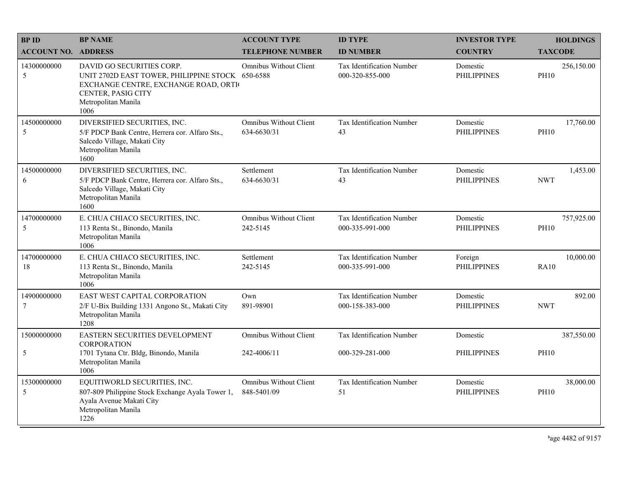| <b>BPID</b>                   | <b>BP NAME</b>                                                                                                                                                             | <b>ACCOUNT TYPE</b>                          | <b>ID TYPE</b>                               | <b>INVESTOR TYPE</b>           |                | <b>HOLDINGS</b> |
|-------------------------------|----------------------------------------------------------------------------------------------------------------------------------------------------------------------------|----------------------------------------------|----------------------------------------------|--------------------------------|----------------|-----------------|
| <b>ACCOUNT NO. ADDRESS</b>    |                                                                                                                                                                            | <b>TELEPHONE NUMBER</b>                      | <b>ID NUMBER</b>                             | <b>COUNTRY</b>                 | <b>TAXCODE</b> |                 |
| 14300000000<br>5              | DAVID GO SECURITIES CORP.<br>UNIT 2702D EAST TOWER, PHILIPPINE STOCK 650-6588<br>EXCHANGE CENTRE, EXCHANGE ROAD, ORTI<br>CENTER, PASIG CITY<br>Metropolitan Manila<br>1006 | <b>Omnibus Without Client</b>                | Tax Identification Number<br>000-320-855-000 | Domestic<br><b>PHILIPPINES</b> | <b>PH10</b>    | 256,150.00      |
| 14500000000<br>5              | DIVERSIFIED SECURITIES, INC.<br>5/F PDCP Bank Centre, Herrera cor. Alfaro Sts.,<br>Salcedo Village, Makati City<br>Metropolitan Manila<br>1600                             | <b>Omnibus Without Client</b><br>634-6630/31 | Tax Identification Number<br>43              | Domestic<br><b>PHILIPPINES</b> | <b>PH10</b>    | 17,760.00       |
| 14500000000<br>6              | DIVERSIFIED SECURITIES, INC.<br>5/F PDCP Bank Centre, Herrera cor. Alfaro Sts.,<br>Salcedo Village, Makati City<br>Metropolitan Manila<br>1600                             | Settlement<br>634-6630/31                    | Tax Identification Number<br>43              | Domestic<br><b>PHILIPPINES</b> | <b>NWT</b>     | 1,453.00        |
| 14700000000<br>5              | E. CHUA CHIACO SECURITIES, INC.<br>113 Renta St., Binondo, Manila<br>Metropolitan Manila<br>1006                                                                           | <b>Omnibus Without Client</b><br>242-5145    | Tax Identification Number<br>000-335-991-000 | Domestic<br><b>PHILIPPINES</b> | <b>PH10</b>    | 757,925.00      |
| 14700000000<br>18             | E. CHUA CHIACO SECURITIES, INC.<br>113 Renta St., Binondo, Manila<br>Metropolitan Manila<br>1006                                                                           | Settlement<br>242-5145                       | Tax Identification Number<br>000-335-991-000 | Foreign<br><b>PHILIPPINES</b>  | <b>RA10</b>    | 10,000.00       |
| 14900000000<br>$\overline{7}$ | EAST WEST CAPITAL CORPORATION<br>2/F U-Bix Building 1331 Angono St., Makati City<br>Metropolitan Manila<br>1208                                                            | Own<br>891-98901                             | Tax Identification Number<br>000-158-383-000 | Domestic<br><b>PHILIPPINES</b> | <b>NWT</b>     | 892.00          |
| 15000000000                   | EASTERN SECURITIES DEVELOPMENT<br><b>CORPORATION</b>                                                                                                                       | <b>Omnibus Without Client</b>                | <b>Tax Identification Number</b>             | Domestic                       |                | 387,550.00      |
| 5                             | 1701 Tytana Ctr. Bldg, Binondo, Manila<br>Metropolitan Manila<br>1006                                                                                                      | 242-4006/11                                  | 000-329-281-000                              | <b>PHILIPPINES</b>             | <b>PH10</b>    |                 |
| 15300000000<br>5              | EQUITIWORLD SECURITIES, INC.<br>807-809 Philippine Stock Exchange Ayala Tower 1,<br>Ayala Avenue Makati City<br>Metropolitan Manila<br>1226                                | <b>Omnibus Without Client</b><br>848-5401/09 | Tax Identification Number<br>51              | Domestic<br><b>PHILIPPINES</b> | <b>PH10</b>    | 38,000.00       |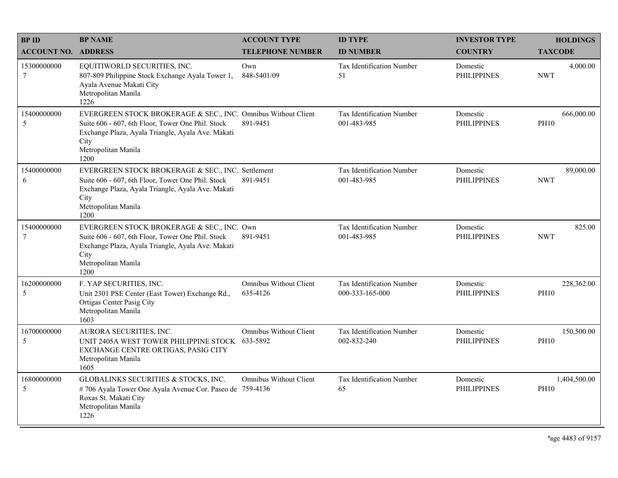| <b>BPID</b>                    | <b>BP NAME</b>                                                                                                                                                                                                 | <b>ACCOUNT TYPE</b>                       | <b>ID TYPE</b>                               | <b>INVESTOR TYPE</b>           | <b>HOLDINGS</b>             |
|--------------------------------|----------------------------------------------------------------------------------------------------------------------------------------------------------------------------------------------------------------|-------------------------------------------|----------------------------------------------|--------------------------------|-----------------------------|
| <b>ACCOUNT NO. ADDRESS</b>     |                                                                                                                                                                                                                | <b>TELEPHONE NUMBER</b>                   | <b>ID NUMBER</b>                             | <b>COUNTRY</b>                 | <b>TAXCODE</b>              |
| 15300000000<br>$7\phantom{.0}$ | EQUITIWORLD SECURITIES, INC.<br>807-809 Philippine Stock Exchange Ayala Tower 1,<br>Ayala Avenue Makati City<br>Metropolitan Manila<br>1226                                                                    | Own<br>848-5401/09                        | Tax Identification Number<br>51              | Domestic<br><b>PHILIPPINES</b> | 4,000.00<br><b>NWT</b>      |
| 15400000000<br>5               | EVERGREEN STOCK BROKERAGE & SEC., INC. Omnibus Without Client<br>Suite 606 - 607, 6th Floor, Tower One Phil. Stock<br>Exchange Plaza, Ayala Triangle, Ayala Ave. Makati<br>City<br>Metropolitan Manila<br>1200 | 891-9451                                  | Tax Identification Number<br>001-483-985     | Domestic<br><b>PHILIPPINES</b> | 666,000.00<br><b>PH10</b>   |
| 15400000000<br>6               | EVERGREEN STOCK BROKERAGE & SEC., INC. Settlement<br>Suite 606 - 607, 6th Floor, Tower One Phil. Stock<br>Exchange Plaza, Ayala Triangle, Ayala Ave. Makati<br>City<br>Metropolitan Manila<br>1200             | 891-9451                                  | Tax Identification Number<br>001-483-985     | Domestic<br><b>PHILIPPINES</b> | 89,000.00<br><b>NWT</b>     |
| 15400000000<br>$\tau$          | EVERGREEN STOCK BROKERAGE & SEC., INC. Own<br>Suite 606 - 607, 6th Floor, Tower One Phil. Stock<br>Exchange Plaza, Ayala Triangle, Ayala Ave. Makati<br>City<br>Metropolitan Manila<br>1200                    | 891-9451                                  | Tax Identification Number<br>001-483-985     | Domestic<br><b>PHILIPPINES</b> | 825.00<br><b>NWT</b>        |
| 16200000000<br>5               | F. YAP SECURITIES, INC.<br>Unit 2301 PSE Center (East Tower) Exchange Rd.,<br>Ortigas Center Pasig City<br>Metropolitan Manila<br>1603                                                                         | <b>Omnibus Without Client</b><br>635-4126 | Tax Identification Number<br>000-333-165-000 | Domestic<br><b>PHILIPPINES</b> | 228,362.00<br><b>PH10</b>   |
| 16700000000<br>5               | AURORA SECURITIES, INC.<br>UNIT 2405A WEST TOWER PHILIPPINE STOCK 633-5892<br>EXCHANGE CENTRE ORTIGAS, PASIG CITY<br>Metropolitan Manila<br>1605                                                               | <b>Omnibus Without Client</b>             | Tax Identification Number<br>002-832-240     | Domestic<br><b>PHILIPPINES</b> | 150,500.00<br><b>PH10</b>   |
| 16800000000<br>5               | GLOBALINKS SECURITIES & STOCKS, INC.<br>#706 Ayala Tower One Ayala Avenue Cor. Paseo de 759-4136<br>Roxas St. Makati City<br>Metropolitan Manila<br>1226                                                       | <b>Omnibus Without Client</b>             | Tax Identification Number<br>65              | Domestic<br><b>PHILIPPINES</b> | 1,404,500.00<br><b>PH10</b> |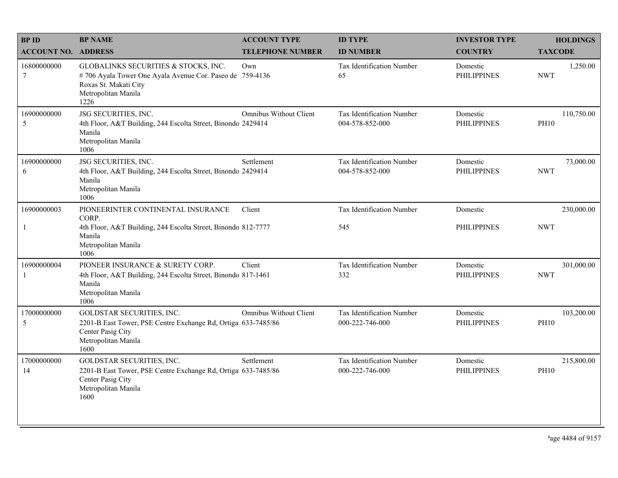| <b>BPID</b>                 | <b>BP NAME</b>                                                                                                                                           | <b>ACCOUNT TYPE</b>           | <b>ID TYPE</b>                               | <b>INVESTOR TYPE</b>           | <b>HOLDINGS</b>           |
|-----------------------------|----------------------------------------------------------------------------------------------------------------------------------------------------------|-------------------------------|----------------------------------------------|--------------------------------|---------------------------|
| <b>ACCOUNT NO. ADDRESS</b>  |                                                                                                                                                          | <b>TELEPHONE NUMBER</b>       | <b>ID NUMBER</b>                             | <b>COUNTRY</b>                 | <b>TAXCODE</b>            |
| 16800000000<br>$\tau$       | GLOBALINKS SECURITIES & STOCKS, INC.<br>#706 Ayala Tower One Ayala Avenue Cor. Paseo de 759-4136<br>Roxas St. Makati City<br>Metropolitan Manila<br>1226 | Own                           | Tax Identification Number<br>65              | Domestic<br><b>PHILIPPINES</b> | 1,250.00<br><b>NWT</b>    |
| 16900000000<br>5            | JSG SECURITIES, INC.<br>4th Floor, A&T Building, 244 Escolta Street, Binondo 2429414<br>Manila<br>Metropolitan Manila<br>1006                            | <b>Omnibus Without Client</b> | Tax Identification Number<br>004-578-852-000 | Domestic<br><b>PHILIPPINES</b> | 110,750.00<br><b>PH10</b> |
| 16900000000<br>6            | JSG SECURITIES, INC.<br>4th Floor, A&T Building, 244 Escolta Street, Binondo 2429414<br>Manila<br>Metropolitan Manila<br>1006                            | Settlement                    | Tax Identification Number<br>004-578-852-000 | Domestic<br><b>PHILIPPINES</b> | 73,000.00<br><b>NWT</b>   |
| 16900000003                 | PIONEERINTER CONTINENTAL INSURANCE                                                                                                                       | Client                        | Tax Identification Number                    | Domestic                       | 230,000.00                |
| $\mathbf{1}$                | CORP.<br>4th Floor, A&T Building, 244 Escolta Street, Binondo 812-7777<br>Manila<br>Metropolitan Manila<br>1006                                          |                               | 545                                          | <b>PHILIPPINES</b>             | <b>NWT</b>                |
| 16900000004<br>$\mathbf{1}$ | PIONEER INSURANCE & SURETY CORP.<br>4th Floor, A&T Building, 244 Escolta Street, Binondo 817-1461<br>Manila<br>Metropolitan Manila<br>1006               | Client                        | Tax Identification Number<br>332             | Domestic<br><b>PHILIPPINES</b> | 301,000.00<br><b>NWT</b>  |
| 17000000000<br>5            | GOLDSTAR SECURITIES, INC.<br>2201-B East Tower, PSE Centre Exchange Rd, Ortiga 633-7485/86<br>Center Pasig City<br>Metropolitan Manila<br>1600           | Omnibus Without Client        | Tax Identification Number<br>000-222-746-000 | Domestic<br><b>PHILIPPINES</b> | 103,200.00<br><b>PH10</b> |
| 17000000000<br>14           | GOLDSTAR SECURITIES, INC.<br>2201-B East Tower, PSE Centre Exchange Rd, Ortiga 633-7485/86<br>Center Pasig City<br>Metropolitan Manila<br>1600           | Settlement                    | Tax Identification Number<br>000-222-746-000 | Domestic<br><b>PHILIPPINES</b> | 215,800.00<br><b>PH10</b> |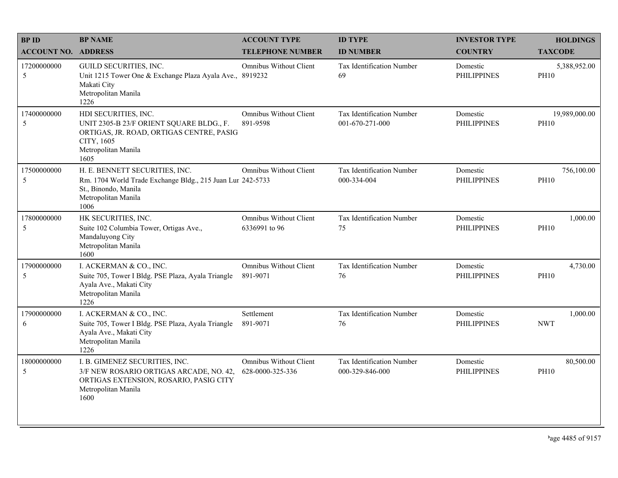| <b>BPID</b>                | <b>BP NAME</b>                                                                                                                                            | <b>ACCOUNT TYPE</b>                               | <b>ID TYPE</b>                               | <b>INVESTOR TYPE</b>           | <b>HOLDINGS</b>              |
|----------------------------|-----------------------------------------------------------------------------------------------------------------------------------------------------------|---------------------------------------------------|----------------------------------------------|--------------------------------|------------------------------|
| <b>ACCOUNT NO. ADDRESS</b> |                                                                                                                                                           | <b>TELEPHONE NUMBER</b>                           | <b>ID NUMBER</b>                             | <b>COUNTRY</b>                 | <b>TAXCODE</b>               |
| 17200000000<br>5           | GUILD SECURITIES, INC.<br>Unit 1215 Tower One & Exchange Plaza Ayala Ave., 8919232<br>Makati City<br>Metropolitan Manila<br>1226                          | <b>Omnibus Without Client</b>                     | Tax Identification Number<br>69              | Domestic<br><b>PHILIPPINES</b> | 5,388,952.00<br><b>PH10</b>  |
| 17400000000<br>5           | HDI SECURITIES, INC.<br>UNIT 2305-B 23/F ORIENT SQUARE BLDG., F.<br>ORTIGAS, JR. ROAD, ORTIGAS CENTRE, PASIG<br>CITY, 1605<br>Metropolitan Manila<br>1605 | <b>Omnibus Without Client</b><br>891-9598         | Tax Identification Number<br>001-670-271-000 | Domestic<br><b>PHILIPPINES</b> | 19,989,000.00<br><b>PH10</b> |
| 17500000000<br>5           | H. E. BENNETT SECURITIES, INC.<br>Rm. 1704 World Trade Exchange Bldg., 215 Juan Lur 242-5733<br>St., Binondo, Manila<br>Metropolitan Manila<br>1006       | <b>Omnibus Without Client</b>                     | Tax Identification Number<br>000-334-004     | Domestic<br><b>PHILIPPINES</b> | 756,100.00<br><b>PH10</b>    |
| 17800000000<br>5           | HK SECURITIES, INC.<br>Suite 102 Columbia Tower, Ortigas Ave.,<br>Mandaluyong City<br>Metropolitan Manila<br>1600                                         | <b>Omnibus Without Client</b><br>6336991 to 96    | Tax Identification Number<br>75              | Domestic<br><b>PHILIPPINES</b> | 1,000.00<br><b>PH10</b>      |
| 17900000000<br>5           | I. ACKERMAN & CO., INC.<br>Suite 705, Tower I Bldg. PSE Plaza, Ayala Triangle<br>Ayala Ave., Makati City<br>Metropolitan Manila<br>1226                   | <b>Omnibus Without Client</b><br>891-9071         | Tax Identification Number<br>76              | Domestic<br><b>PHILIPPINES</b> | 4,730.00<br><b>PH10</b>      |
| 17900000000<br>6           | I. ACKERMAN & CO., INC.<br>Suite 705, Tower I Bldg. PSE Plaza, Ayala Triangle<br>Ayala Ave., Makati City<br>Metropolitan Manila<br>1226                   | Settlement<br>891-9071                            | Tax Identification Number<br>76              | Domestic<br><b>PHILIPPINES</b> | 1,000.00<br><b>NWT</b>       |
| 18000000000<br>5           | I. B. GIMENEZ SECURITIES, INC.<br>3/F NEW ROSARIO ORTIGAS ARCADE, NO. 42,<br>ORTIGAS EXTENSION, ROSARIO, PASIG CITY<br>Metropolitan Manila<br>1600        | <b>Omnibus Without Client</b><br>628-0000-325-336 | Tax Identification Number<br>000-329-846-000 | Domestic<br><b>PHILIPPINES</b> | 80,500.00<br><b>PH10</b>     |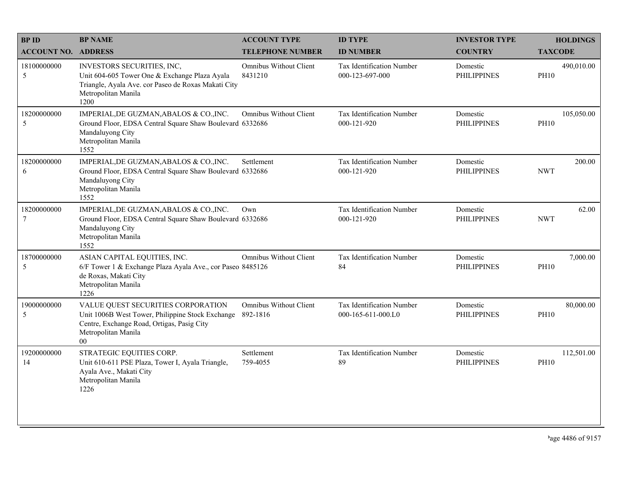| <b>BPID</b>                | <b>BP NAME</b>                                                                                                                                                        | <b>ACCOUNT TYPE</b>                       | <b>ID TYPE</b>                                  | <b>INVESTOR TYPE</b>           | <b>HOLDINGS</b>           |
|----------------------------|-----------------------------------------------------------------------------------------------------------------------------------------------------------------------|-------------------------------------------|-------------------------------------------------|--------------------------------|---------------------------|
| <b>ACCOUNT NO. ADDRESS</b> |                                                                                                                                                                       | <b>TELEPHONE NUMBER</b>                   | <b>ID NUMBER</b>                                | <b>COUNTRY</b>                 | <b>TAXCODE</b>            |
| 18100000000<br>5           | INVESTORS SECURITIES, INC,<br>Unit 604-605 Tower One & Exchange Plaza Ayala<br>Triangle, Ayala Ave. cor Paseo de Roxas Makati City<br>Metropolitan Manila<br>1200     | Omnibus Without Client<br>8431210         | Tax Identification Number<br>000-123-697-000    | Domestic<br><b>PHILIPPINES</b> | 490,010.00<br><b>PH10</b> |
| 18200000000<br>5           | IMPERIAL, DE GUZMAN, ABALOS & CO., INC.<br>Ground Floor, EDSA Central Square Shaw Boulevard 6332686<br>Mandaluyong City<br>Metropolitan Manila<br>1552                | <b>Omnibus Without Client</b>             | Tax Identification Number<br>000-121-920        | Domestic<br><b>PHILIPPINES</b> | 105,050.00<br><b>PH10</b> |
| 18200000000<br>6           | IMPERIAL, DE GUZMAN, ABALOS & CO., INC.<br>Ground Floor, EDSA Central Square Shaw Boulevard 6332686<br>Mandaluyong City<br>Metropolitan Manila<br>1552                | Settlement                                | Tax Identification Number<br>000-121-920        | Domestic<br><b>PHILIPPINES</b> | 200.00<br><b>NWT</b>      |
| 18200000000<br>7           | IMPERIAL, DE GUZMAN, ABALOS & CO., INC.<br>Ground Floor, EDSA Central Square Shaw Boulevard 6332686<br>Mandaluyong City<br>Metropolitan Manila<br>1552                | Own                                       | Tax Identification Number<br>000-121-920        | Domestic<br><b>PHILIPPINES</b> | 62.00<br><b>NWT</b>       |
| 18700000000<br>5           | ASIAN CAPITAL EQUITIES, INC.<br>6/F Tower 1 & Exchange Plaza Ayala Ave., cor Paseo 8485126<br>de Roxas, Makati City<br>Metropolitan Manila<br>1226                    | <b>Omnibus Without Client</b>             | Tax Identification Number<br>84                 | Domestic<br><b>PHILIPPINES</b> | 7,000.00<br><b>PH10</b>   |
| 19000000000<br>5           | VALUE QUEST SECURITIES CORPORATION<br>Unit 1006B West Tower, Philippine Stock Exchange<br>Centre, Exchange Road, Ortigas, Pasig City<br>Metropolitan Manila<br>$00\,$ | <b>Omnibus Without Client</b><br>892-1816 | Tax Identification Number<br>000-165-611-000.L0 | Domestic<br><b>PHILIPPINES</b> | 80,000.00<br><b>PH10</b>  |
| 19200000000<br>14          | STRATEGIC EQUITIES CORP.<br>Unit 610-611 PSE Plaza, Tower I, Ayala Triangle,<br>Ayala Ave., Makati City<br>Metropolitan Manila<br>1226                                | Settlement<br>759-4055                    | Tax Identification Number<br>89                 | Domestic<br><b>PHILIPPINES</b> | 112,501.00<br><b>PH10</b> |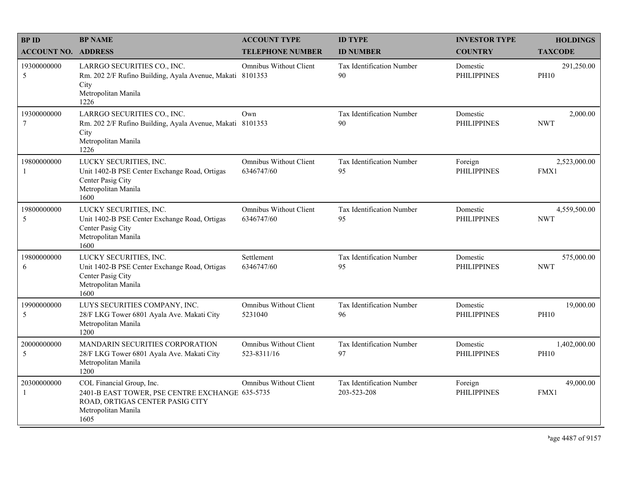| <b>BPID</b>                   | <b>BP NAME</b>                                                                                                                                 | <b>ACCOUNT TYPE</b>                          | <b>ID TYPE</b>                           | <b>INVESTOR TYPE</b>           | <b>HOLDINGS</b>             |
|-------------------------------|------------------------------------------------------------------------------------------------------------------------------------------------|----------------------------------------------|------------------------------------------|--------------------------------|-----------------------------|
| <b>ACCOUNT NO. ADDRESS</b>    |                                                                                                                                                | <b>TELEPHONE NUMBER</b>                      | <b>ID NUMBER</b>                         | <b>COUNTRY</b>                 | <b>TAXCODE</b>              |
| 19300000000<br>5              | LARRGO SECURITIES CO., INC.<br>Rm. 202 2/F Rufino Building, Ayala Avenue, Makati 8101353<br>City<br>Metropolitan Manila<br>1226                | Omnibus Without Client                       | <b>Tax Identification Number</b><br>90   | Domestic<br><b>PHILIPPINES</b> | 291,250.00<br><b>PH10</b>   |
| 19300000000<br>7              | LARRGO SECURITIES CO., INC.<br>Rm. 202 2/F Rufino Building, Ayala Avenue, Makati 8101353<br>City<br>Metropolitan Manila<br>1226                | Own                                          | Tax Identification Number<br>90          | Domestic<br><b>PHILIPPINES</b> | 2,000.00<br><b>NWT</b>      |
| 19800000000                   | LUCKY SECURITIES, INC.<br>Unit 1402-B PSE Center Exchange Road, Ortigas<br>Center Pasig City<br>Metropolitan Manila<br>1600                    | <b>Omnibus Without Client</b><br>6346747/60  | Tax Identification Number<br>95          | Foreign<br><b>PHILIPPINES</b>  | 2,523,000.00<br><b>FMX1</b> |
| 19800000000<br>5              | LUCKY SECURITIES, INC.<br>Unit 1402-B PSE Center Exchange Road, Ortigas<br>Center Pasig City<br>Metropolitan Manila<br>1600                    | Omnibus Without Client<br>6346747/60         | Tax Identification Number<br>95          | Domestic<br><b>PHILIPPINES</b> | 4,559,500.00<br><b>NWT</b>  |
| 19800000000<br>6              | LUCKY SECURITIES, INC.<br>Unit 1402-B PSE Center Exchange Road, Ortigas<br>Center Pasig City<br>Metropolitan Manila<br>1600                    | Settlement<br>6346747/60                     | Tax Identification Number<br>95          | Domestic<br><b>PHILIPPINES</b> | 575,000.00<br><b>NWT</b>    |
| 19900000000<br>5              | LUYS SECURITIES COMPANY, INC.<br>28/F LKG Tower 6801 Ayala Ave. Makati City<br>Metropolitan Manila<br>1200                                     | <b>Omnibus Without Client</b><br>5231040     | Tax Identification Number<br>96          | Domestic<br><b>PHILIPPINES</b> | 19,000.00<br><b>PH10</b>    |
| 20000000000<br>5              | MANDARIN SECURITIES CORPORATION<br>28/F LKG Tower 6801 Ayala Ave. Makati City<br>Metropolitan Manila<br>1200                                   | <b>Omnibus Without Client</b><br>523-8311/16 | Tax Identification Number<br>97          | Domestic<br><b>PHILIPPINES</b> | 1,402,000.00<br><b>PH10</b> |
| 20300000000<br>$\overline{1}$ | COL Financial Group, Inc.<br>2401-B EAST TOWER, PSE CENTRE EXCHANGE 635-5735<br>ROAD, ORTIGAS CENTER PASIG CITY<br>Metropolitan Manila<br>1605 | Omnibus Without Client                       | Tax Identification Number<br>203-523-208 | Foreign<br><b>PHILIPPINES</b>  | 49,000.00<br>FMX1           |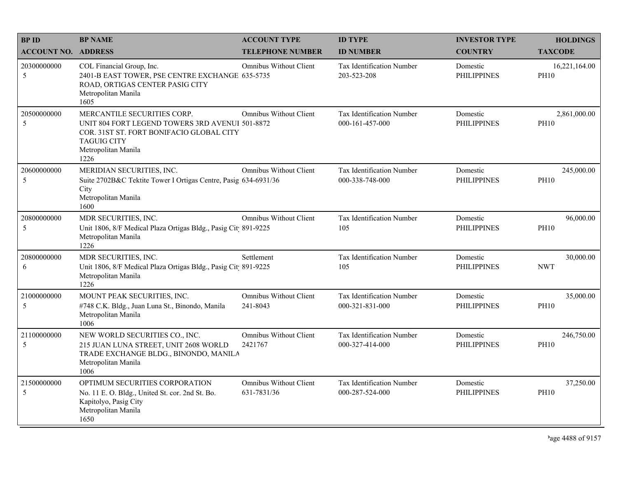| <b>BPID</b>                | <b>BP NAME</b>                                                                                                                                                                  | <b>ACCOUNT TYPE</b>                          | <b>ID TYPE</b>                                  | <b>INVESTOR TYPE</b>           | <b>HOLDINGS</b>              |
|----------------------------|---------------------------------------------------------------------------------------------------------------------------------------------------------------------------------|----------------------------------------------|-------------------------------------------------|--------------------------------|------------------------------|
| <b>ACCOUNT NO. ADDRESS</b> |                                                                                                                                                                                 | <b>TELEPHONE NUMBER</b>                      | <b>ID NUMBER</b>                                | <b>COUNTRY</b>                 | <b>TAXCODE</b>               |
| 20300000000<br>5           | COL Financial Group, Inc.<br>2401-B EAST TOWER, PSE CENTRE EXCHANGE 635-5735<br>ROAD, ORTIGAS CENTER PASIG CITY<br>Metropolitan Manila<br>1605                                  | <b>Omnibus Without Client</b>                | <b>Tax Identification Number</b><br>203-523-208 | Domestic<br><b>PHILIPPINES</b> | 16,221,164.00<br><b>PH10</b> |
| 20500000000<br>5           | MERCANTILE SECURITIES CORP.<br>UNIT 804 FORT LEGEND TOWERS 3RD AVENUI 501-8872<br>COR. 31ST ST. FORT BONIFACIO GLOBAL CITY<br><b>TAGUIG CITY</b><br>Metropolitan Manila<br>1226 | Omnibus Without Client                       | Tax Identification Number<br>000-161-457-000    | Domestic<br><b>PHILIPPINES</b> | 2,861,000.00<br><b>PH10</b>  |
| 20600000000<br>5           | MERIDIAN SECURITIES, INC.<br>Suite 2702B&C Tektite Tower I Ortigas Centre, Pasig 634-6931/36<br>City<br>Metropolitan Manila<br>1600                                             | <b>Omnibus Without Client</b>                | Tax Identification Number<br>000-338-748-000    | Domestic<br><b>PHILIPPINES</b> | 245,000.00<br><b>PH10</b>    |
| 20800000000<br>5           | MDR SECURITIES, INC.<br>Unit 1806, 8/F Medical Plaza Ortigas Bldg., Pasig Cit 891-9225<br>Metropolitan Manila<br>1226                                                           | <b>Omnibus Without Client</b>                | Tax Identification Number<br>105                | Domestic<br><b>PHILIPPINES</b> | 96,000.00<br><b>PH10</b>     |
| 20800000000<br>6           | MDR SECURITIES, INC.<br>Unit 1806, 8/F Medical Plaza Ortigas Bldg., Pasig Cit 891-9225<br>Metropolitan Manila<br>1226                                                           | Settlement                                   | Tax Identification Number<br>105                | Domestic<br><b>PHILIPPINES</b> | 30,000.00<br><b>NWT</b>      |
| 21000000000<br>5           | MOUNT PEAK SECURITIES, INC.<br>#748 C.K. Bldg., Juan Luna St., Binondo, Manila<br>Metropolitan Manila<br>1006                                                                   | <b>Omnibus Without Client</b><br>241-8043    | Tax Identification Number<br>000-321-831-000    | Domestic<br><b>PHILIPPINES</b> | 35,000.00<br><b>PH10</b>     |
| 21100000000<br>5           | NEW WORLD SECURITIES CO., INC.<br>215 JUAN LUNA STREET, UNIT 2608 WORLD<br>TRADE EXCHANGE BLDG., BINONDO, MANILA<br>Metropolitan Manila<br>1006                                 | <b>Omnibus Without Client</b><br>2421767     | Tax Identification Number<br>000-327-414-000    | Domestic<br><b>PHILIPPINES</b> | 246,750.00<br><b>PH10</b>    |
| 21500000000<br>5           | OPTIMUM SECURITIES CORPORATION<br>No. 11 E. O. Bldg., United St. cor. 2nd St. Bo.<br>Kapitolyo, Pasig City<br>Metropolitan Manila<br>1650                                       | <b>Omnibus Without Client</b><br>631-7831/36 | Tax Identification Number<br>000-287-524-000    | Domestic<br><b>PHILIPPINES</b> | 37,250.00<br><b>PH10</b>     |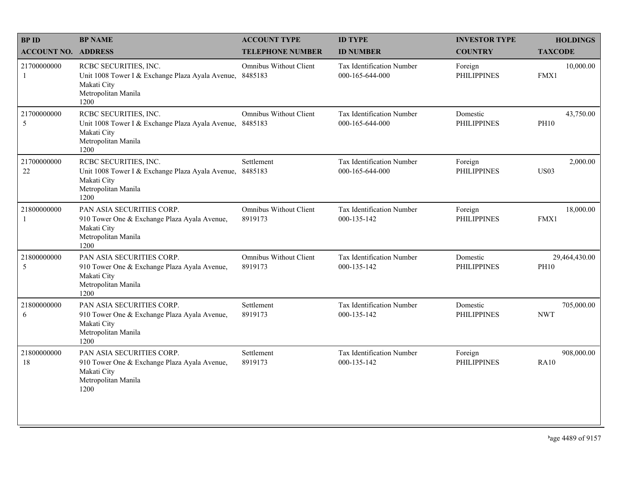| <b>BPID</b>                 | <b>BP NAME</b>                                                                                                                  | <b>ACCOUNT TYPE</b>                      | <b>ID TYPE</b>                               | <b>INVESTOR TYPE</b>           | <b>HOLDINGS</b>              |
|-----------------------------|---------------------------------------------------------------------------------------------------------------------------------|------------------------------------------|----------------------------------------------|--------------------------------|------------------------------|
| <b>ACCOUNT NO. ADDRESS</b>  |                                                                                                                                 | <b>TELEPHONE NUMBER</b>                  | <b>ID NUMBER</b>                             | <b>COUNTRY</b>                 | <b>TAXCODE</b>               |
| 21700000000<br>1            | RCBC SECURITIES, INC.<br>Unit 1008 Tower I & Exchange Plaza Ayala Avenue,<br>Makati City<br>Metropolitan Manila<br>1200         | Omnibus Without Client<br>8485183        | Tax Identification Number<br>000-165-644-000 | Foreign<br><b>PHILIPPINES</b>  | 10,000.00<br>FMX1            |
| 21700000000<br>5            | RCBC SECURITIES, INC.<br>Unit 1008 Tower I & Exchange Plaza Ayala Avenue, 8485183<br>Makati City<br>Metropolitan Manila<br>1200 | Omnibus Without Client                   | Tax Identification Number<br>000-165-644-000 | Domestic<br><b>PHILIPPINES</b> | 43,750.00<br><b>PH10</b>     |
| 21700000000<br>22           | RCBC SECURITIES, INC.<br>Unit 1008 Tower I & Exchange Plaza Ayala Avenue,<br>Makati City<br>Metropolitan Manila<br>1200         | Settlement<br>8485183                    | Tax Identification Number<br>000-165-644-000 | Foreign<br><b>PHILIPPINES</b>  | 2,000.00<br><b>US03</b>      |
| 21800000000<br>$\mathbf{1}$ | PAN ASIA SECURITIES CORP.<br>910 Tower One & Exchange Plaza Ayala Avenue,<br>Makati City<br>Metropolitan Manila<br>1200         | <b>Omnibus Without Client</b><br>8919173 | Tax Identification Number<br>000-135-142     | Foreign<br><b>PHILIPPINES</b>  | 18,000.00<br>FMX1            |
| 21800000000<br>5            | PAN ASIA SECURITIES CORP.<br>910 Tower One & Exchange Plaza Ayala Avenue,<br>Makati City<br>Metropolitan Manila<br>1200         | <b>Omnibus Without Client</b><br>8919173 | Tax Identification Number<br>000-135-142     | Domestic<br><b>PHILIPPINES</b> | 29,464,430.00<br><b>PH10</b> |
| 21800000000<br>6            | PAN ASIA SECURITIES CORP.<br>910 Tower One & Exchange Plaza Ayala Avenue,<br>Makati City<br>Metropolitan Manila<br>1200         | Settlement<br>8919173                    | Tax Identification Number<br>000-135-142     | Domestic<br><b>PHILIPPINES</b> | 705,000.00<br><b>NWT</b>     |
| 21800000000<br>18           | PAN ASIA SECURITIES CORP.<br>910 Tower One & Exchange Plaza Ayala Avenue,<br>Makati City<br>Metropolitan Manila<br>1200         | Settlement<br>8919173                    | Tax Identification Number<br>000-135-142     | Foreign<br><b>PHILIPPINES</b>  | 908,000.00<br><b>RA10</b>    |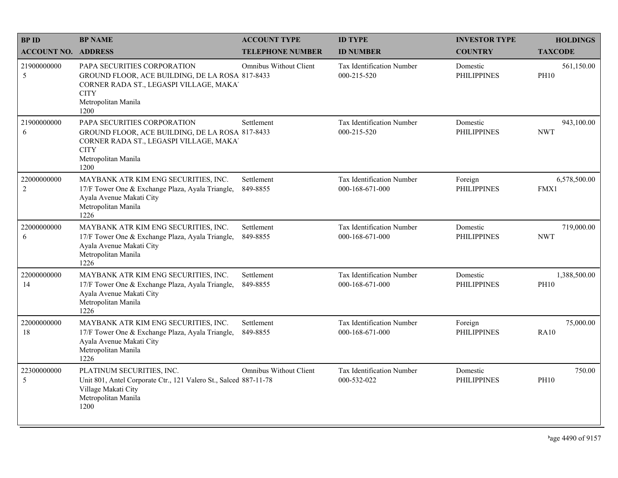| <b>BPID</b>                   | <b>BP NAME</b>                                                                                                                                                          | <b>ACCOUNT TYPE</b>           | <b>ID TYPE</b>                                      | <b>INVESTOR TYPE</b>           | <b>HOLDINGS</b>             |
|-------------------------------|-------------------------------------------------------------------------------------------------------------------------------------------------------------------------|-------------------------------|-----------------------------------------------------|--------------------------------|-----------------------------|
| <b>ACCOUNT NO. ADDRESS</b>    |                                                                                                                                                                         | <b>TELEPHONE NUMBER</b>       | <b>ID NUMBER</b>                                    | <b>COUNTRY</b>                 | <b>TAXCODE</b>              |
| 21900000000<br>5              | PAPA SECURITIES CORPORATION<br>GROUND FLOOR, ACE BUILDING, DE LA ROSA 817-8433<br>CORNER RADA ST., LEGASPI VILLAGE, MAKA'<br><b>CITY</b><br>Metropolitan Manila<br>1200 | <b>Omnibus Without Client</b> | <b>Tax Identification Number</b><br>000-215-520     | Domestic<br><b>PHILIPPINES</b> | 561,150.00<br><b>PH10</b>   |
| 21900000000<br>6              | PAPA SECURITIES CORPORATION<br>GROUND FLOOR, ACE BUILDING, DE LA ROSA 817-8433<br>CORNER RADA ST., LEGASPI VILLAGE, MAKA'<br><b>CITY</b><br>Metropolitan Manila<br>1200 | Settlement                    | Tax Identification Number<br>000-215-520            | Domestic<br><b>PHILIPPINES</b> | 943,100.00<br><b>NWT</b>    |
| 22000000000<br>$\overline{c}$ | MAYBANK ATR KIM ENG SECURITIES, INC.<br>17/F Tower One & Exchange Plaza, Ayala Triangle,<br>Ayala Avenue Makati City<br>Metropolitan Manila<br>1226                     | Settlement<br>849-8855        | <b>Tax Identification Number</b><br>000-168-671-000 | Foreign<br><b>PHILIPPINES</b>  | 6,578,500.00<br>FMX1        |
| 22000000000<br>6              | MAYBANK ATR KIM ENG SECURITIES, INC.<br>17/F Tower One & Exchange Plaza, Ayala Triangle,<br>Ayala Avenue Makati City<br>Metropolitan Manila<br>1226                     | Settlement<br>849-8855        | <b>Tax Identification Number</b><br>000-168-671-000 | Domestic<br><b>PHILIPPINES</b> | 719,000.00<br><b>NWT</b>    |
| 22000000000<br>14             | MAYBANK ATR KIM ENG SECURITIES, INC.<br>17/F Tower One & Exchange Plaza, Ayala Triangle,<br>Ayala Avenue Makati City<br>Metropolitan Manila<br>1226                     | Settlement<br>849-8855        | Tax Identification Number<br>000-168-671-000        | Domestic<br><b>PHILIPPINES</b> | 1,388,500.00<br><b>PH10</b> |
| 22000000000<br>18             | MAYBANK ATR KIM ENG SECURITIES, INC.<br>17/F Tower One & Exchange Plaza, Ayala Triangle,<br>Ayala Avenue Makati City<br>Metropolitan Manila<br>1226                     | Settlement<br>849-8855        | <b>Tax Identification Number</b><br>000-168-671-000 | Foreign<br><b>PHILIPPINES</b>  | 75,000.00<br><b>RA10</b>    |
| 22300000000<br>5              | PLATINUM SECURITIES, INC.<br>Unit 801, Antel Corporate Ctr., 121 Valero St., Salced 887-11-78<br>Village Makati City<br>Metropolitan Manila<br>1200                     | <b>Omnibus Without Client</b> | Tax Identification Number<br>000-532-022            | Domestic<br><b>PHILIPPINES</b> | 750.00<br><b>PH10</b>       |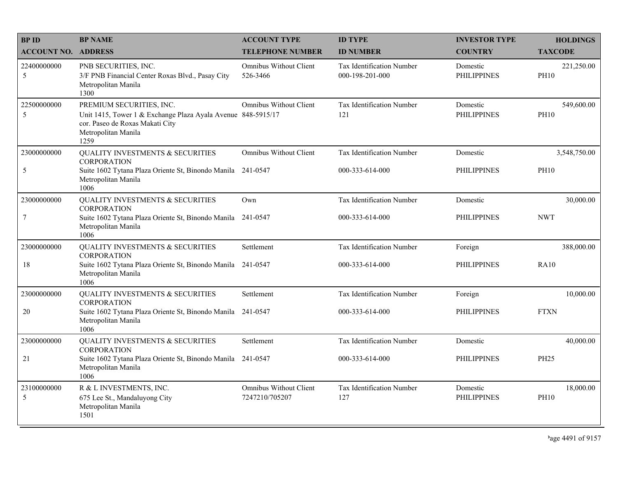| <b>BPID</b>                | <b>BP NAME</b>                                                                                                                                             | <b>ACCOUNT TYPE</b>                             | <b>ID TYPE</b>                                      | <b>INVESTOR TYPE</b>           | <b>HOLDINGS</b>           |
|----------------------------|------------------------------------------------------------------------------------------------------------------------------------------------------------|-------------------------------------------------|-----------------------------------------------------|--------------------------------|---------------------------|
| <b>ACCOUNT NO. ADDRESS</b> |                                                                                                                                                            | <b>TELEPHONE NUMBER</b>                         | <b>ID NUMBER</b>                                    | <b>COUNTRY</b>                 | <b>TAXCODE</b>            |
| 22400000000<br>5           | PNB SECURITIES, INC.<br>3/F PNB Financial Center Roxas Blvd., Pasay City<br>Metropolitan Manila<br>1300                                                    | <b>Omnibus Without Client</b><br>526-3466       | <b>Tax Identification Number</b><br>000-198-201-000 | Domestic<br><b>PHILIPPINES</b> | 221,250.00<br><b>PH10</b> |
| 22500000000<br>5           | PREMIUM SECURITIES, INC.<br>Unit 1415, Tower 1 & Exchange Plaza Ayala Avenue 848-5915/17<br>cor. Paseo de Roxas Makati City<br>Metropolitan Manila<br>1259 | <b>Omnibus Without Client</b>                   | Tax Identification Number<br>121                    | Domestic<br><b>PHILIPPINES</b> | 549,600.00<br><b>PH10</b> |
| 23000000000                | <b>QUALITY INVESTMENTS &amp; SECURITIES</b><br><b>CORPORATION</b>                                                                                          | <b>Omnibus Without Client</b>                   | Tax Identification Number                           | Domestic                       | 3,548,750.00              |
| $\mathfrak s$              | Suite 1602 Tytana Plaza Oriente St, Binondo Manila<br>Metropolitan Manila<br>1006                                                                          | 241-0547                                        | 000-333-614-000                                     | <b>PHILIPPINES</b>             | <b>PH10</b>               |
| 23000000000                | <b>QUALITY INVESTMENTS &amp; SECURITIES</b><br><b>CORPORATION</b>                                                                                          | Own                                             | Tax Identification Number                           | Domestic                       | 30,000.00                 |
| $\boldsymbol{7}$           | Suite 1602 Tytana Plaza Oriente St, Binondo Manila 241-0547<br>Metropolitan Manila<br>1006                                                                 |                                                 | 000-333-614-000                                     | PHILIPPINES                    | <b>NWT</b>                |
| 23000000000                | <b>QUALITY INVESTMENTS &amp; SECURITIES</b><br><b>CORPORATION</b>                                                                                          | Settlement                                      | Tax Identification Number                           | Foreign                        | 388,000.00                |
| 18                         | Suite 1602 Tytana Plaza Oriente St, Binondo Manila<br>Metropolitan Manila<br>1006                                                                          | 241-0547                                        | 000-333-614-000                                     | <b>PHILIPPINES</b>             | <b>RA10</b>               |
| 23000000000                | <b>QUALITY INVESTMENTS &amp; SECURITIES</b><br><b>CORPORATION</b>                                                                                          | Settlement                                      | Tax Identification Number                           | Foreign                        | 10,000.00                 |
| 20                         | Suite 1602 Tytana Plaza Oriente St, Binondo Manila<br>Metropolitan Manila<br>1006                                                                          | 241-0547                                        | 000-333-614-000                                     | PHILIPPINES                    | <b>FTXN</b>               |
| 23000000000                | <b>QUALITY INVESTMENTS &amp; SECURITIES</b><br><b>CORPORATION</b>                                                                                          | Settlement                                      | Tax Identification Number                           | Domestic                       | 40,000.00                 |
| $21\,$                     | Suite 1602 Tytana Plaza Oriente St, Binondo Manila 241-0547<br>Metropolitan Manila<br>1006                                                                 |                                                 | 000-333-614-000                                     | <b>PHILIPPINES</b>             | <b>PH25</b>               |
| 23100000000<br>5           | R & L INVESTMENTS, INC.<br>675 Lee St., Mandaluyong City<br>Metropolitan Manila<br>1501                                                                    | <b>Omnibus Without Client</b><br>7247210/705207 | Tax Identification Number<br>127                    | Domestic<br><b>PHILIPPINES</b> | 18,000.00<br><b>PH10</b>  |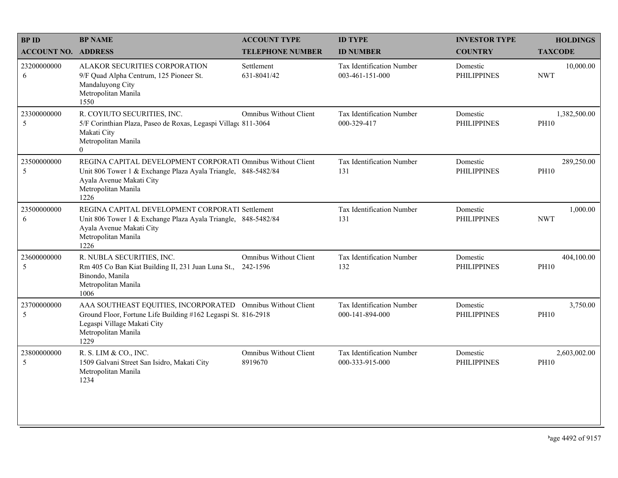| <b>BPID</b>                | <b>BP NAME</b>                                                                                                                                                                             | <b>ACCOUNT TYPE</b>                       | <b>ID TYPE</b>                                      | <b>INVESTOR TYPE</b>           | <b>HOLDINGS</b>             |
|----------------------------|--------------------------------------------------------------------------------------------------------------------------------------------------------------------------------------------|-------------------------------------------|-----------------------------------------------------|--------------------------------|-----------------------------|
| <b>ACCOUNT NO. ADDRESS</b> |                                                                                                                                                                                            | <b>TELEPHONE NUMBER</b>                   | <b>ID NUMBER</b>                                    | <b>COUNTRY</b>                 | <b>TAXCODE</b>              |
| 23200000000<br>6           | <b>ALAKOR SECURITIES CORPORATION</b><br>9/F Quad Alpha Centrum, 125 Pioneer St.<br>Mandaluyong City<br>Metropolitan Manila<br>1550                                                         | Settlement<br>631-8041/42                 | <b>Tax Identification Number</b><br>003-461-151-000 | Domestic<br><b>PHILIPPINES</b> | 10,000.00<br><b>NWT</b>     |
| 23300000000<br>5           | R. COYIUTO SECURITIES, INC.<br>5/F Corinthian Plaza, Paseo de Roxas, Legaspi Villag( 811-3064<br>Makati City<br>Metropolitan Manila<br>$\theta$                                            | <b>Omnibus Without Client</b>             | Tax Identification Number<br>000-329-417            | Domestic<br><b>PHILIPPINES</b> | 1,382,500.00<br><b>PH10</b> |
| 23500000000<br>5           | REGINA CAPITAL DEVELOPMENT CORPORATI Omnibus Without Client<br>Unit 806 Tower 1 & Exchange Plaza Ayala Triangle, 848-5482/84<br>Ayala Avenue Makati City<br>Metropolitan Manila<br>1226    |                                           | Tax Identification Number<br>131                    | Domestic<br><b>PHILIPPINES</b> | 289,250.00<br><b>PH10</b>   |
| 23500000000<br>6           | REGINA CAPITAL DEVELOPMENT CORPORATI Settlement<br>Unit 806 Tower 1 & Exchange Plaza Ayala Triangle, 848-5482/84<br>Ayala Avenue Makati City<br>Metropolitan Manila<br>1226                |                                           | Tax Identification Number<br>131                    | Domestic<br><b>PHILIPPINES</b> | 1,000.00<br><b>NWT</b>      |
| 23600000000<br>5           | R. NUBLA SECURITIES, INC.<br>Rm 405 Co Ban Kiat Building II, 231 Juan Luna St.,<br>Binondo, Manila<br>Metropolitan Manila<br>1006                                                          | <b>Omnibus Without Client</b><br>242-1596 | Tax Identification Number<br>132                    | Domestic<br><b>PHILIPPINES</b> | 404,100.00<br><b>PH10</b>   |
| 23700000000<br>5           | AAA SOUTHEAST EQUITIES, INCORPORATED Omnibus Without Client<br>Ground Floor, Fortune Life Building #162 Legaspi St. 816-2918<br>Legaspi Village Makati City<br>Metropolitan Manila<br>1229 |                                           | Tax Identification Number<br>000-141-894-000        | Domestic<br><b>PHILIPPINES</b> | 3,750.00<br><b>PH10</b>     |
| 23800000000<br>5           | R. S. LIM & CO., INC.<br>1509 Galvani Street San Isidro, Makati City<br>Metropolitan Manila<br>1234                                                                                        | <b>Omnibus Without Client</b><br>8919670  | Tax Identification Number<br>000-333-915-000        | Domestic<br><b>PHILIPPINES</b> | 2,603,002.00<br><b>PH10</b> |
|                            |                                                                                                                                                                                            |                                           |                                                     |                                |                             |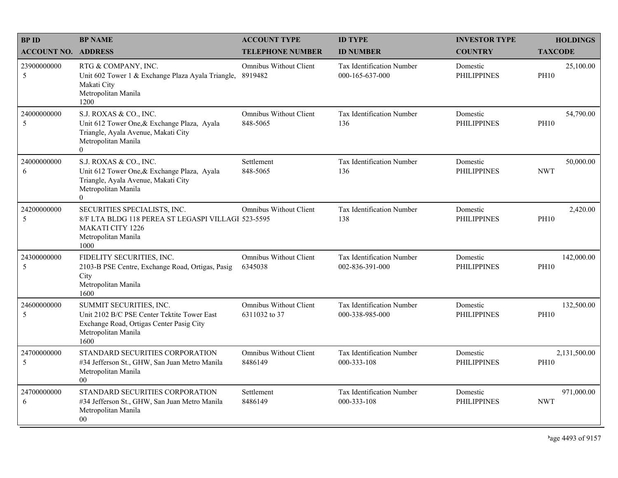| <b>BPID</b>                | <b>BP NAME</b>                                                                                                                                        | <b>ACCOUNT TYPE</b>                       | <b>ID TYPE</b>                                      | <b>INVESTOR TYPE</b>           | <b>HOLDINGS</b>             |
|----------------------------|-------------------------------------------------------------------------------------------------------------------------------------------------------|-------------------------------------------|-----------------------------------------------------|--------------------------------|-----------------------------|
| <b>ACCOUNT NO. ADDRESS</b> |                                                                                                                                                       | <b>TELEPHONE NUMBER</b>                   | <b>ID NUMBER</b>                                    | <b>COUNTRY</b>                 | <b>TAXCODE</b>              |
| 23900000000<br>5           | RTG & COMPANY, INC.<br>Unit 602 Tower 1 & Exchange Plaza Ayala Triangle,<br>Makati City<br>Metropolitan Manila<br>1200                                | <b>Omnibus Without Client</b><br>8919482  | <b>Tax Identification Number</b><br>000-165-637-000 | Domestic<br><b>PHILIPPINES</b> | 25,100.00<br><b>PH10</b>    |
| 24000000000<br>5           | S.J. ROXAS & CO., INC.<br>Unit 612 Tower One, & Exchange Plaza, Ayala<br>Triangle, Ayala Avenue, Makati City<br>Metropolitan Manila<br>$\overline{0}$ | <b>Omnibus Without Client</b><br>848-5065 | Tax Identification Number<br>136                    | Domestic<br><b>PHILIPPINES</b> | 54,790.00<br><b>PH10</b>    |
| 24000000000<br>6           | S.J. ROXAS & CO., INC.<br>Unit 612 Tower One, & Exchange Plaza, Ayala<br>Triangle, Ayala Avenue, Makati City<br>Metropolitan Manila<br>$\overline{0}$ | Settlement<br>848-5065                    | Tax Identification Number<br>136                    | Domestic<br><b>PHILIPPINES</b> | 50,000.00<br><b>NWT</b>     |
| 24200000000<br>5           | SECURITIES SPECIALISTS, INC.<br>8/F LTA BLDG 118 PEREA ST LEGASPI VILLAGI 523-5595<br><b>MAKATI CITY 1226</b><br>Metropolitan Manila<br>1000          | Omnibus Without Client                    | Tax Identification Number<br>138                    | Domestic<br><b>PHILIPPINES</b> | 2,420.00<br><b>PH10</b>     |
| 24300000000<br>5           | FIDELITY SECURITIES, INC.<br>2103-B PSE Centre, Exchange Road, Ortigas, Pasig<br>City<br>Metropolitan Manila<br>1600                                  | <b>Omnibus Without Client</b><br>6345038  | Tax Identification Number<br>002-836-391-000        | Domestic<br><b>PHILIPPINES</b> | 142,000.00<br><b>PH10</b>   |
| 24600000000<br>5           | SUMMIT SECURITIES, INC.<br>Unit 2102 B/C PSE Center Tektite Tower East<br>Exchange Road, Ortigas Center Pasig City<br>Metropolitan Manila<br>1600     | Omnibus Without Client<br>6311032 to 37   | Tax Identification Number<br>000-338-985-000        | Domestic<br><b>PHILIPPINES</b> | 132,500.00<br><b>PH10</b>   |
| 24700000000<br>5           | STANDARD SECURITIES CORPORATION<br>#34 Jefferson St., GHW, San Juan Metro Manila<br>Metropolitan Manila<br>$00\,$                                     | Omnibus Without Client<br>8486149         | Tax Identification Number<br>000-333-108            | Domestic<br><b>PHILIPPINES</b> | 2,131,500.00<br><b>PH10</b> |
| 24700000000<br>6           | STANDARD SECURITIES CORPORATION<br>#34 Jefferson St., GHW, San Juan Metro Manila<br>Metropolitan Manila<br>00                                         | Settlement<br>8486149                     | Tax Identification Number<br>000-333-108            | Domestic<br><b>PHILIPPINES</b> | 971,000.00<br><b>NWT</b>    |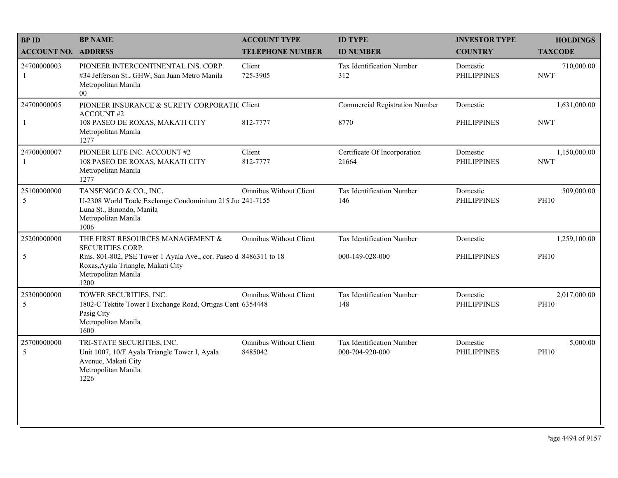| <b>BPID</b>                 | <b>BP NAME</b>                                                                                                                                                                                       | <b>ACCOUNT TYPE</b>                      | <b>ID TYPE</b>                                | <b>INVESTOR TYPE</b>           | <b>HOLDINGS</b>             |
|-----------------------------|------------------------------------------------------------------------------------------------------------------------------------------------------------------------------------------------------|------------------------------------------|-----------------------------------------------|--------------------------------|-----------------------------|
| <b>ACCOUNT NO. ADDRESS</b>  |                                                                                                                                                                                                      | <b>TELEPHONE NUMBER</b>                  | <b>ID NUMBER</b>                              | <b>COUNTRY</b>                 | <b>TAXCODE</b>              |
| 24700000003<br>$\mathbf{1}$ | PIONEER INTERCONTINENTAL INS. CORP.<br>#34 Jefferson St., GHW, San Juan Metro Manila<br>Metropolitan Manila<br>$00\,$                                                                                | Client<br>725-3905                       | Tax Identification Number<br>312              | Domestic<br><b>PHILIPPINES</b> | 710,000.00<br><b>NWT</b>    |
| 24700000005<br>$\mathbf{1}$ | PIONEER INSURANCE & SURETY CORPORATIC Client<br><b>ACCOUNT#2</b><br>108 PASEO DE ROXAS, MAKATI CITY<br>Metropolitan Manila<br>1277                                                                   | 812-7777                                 | <b>Commercial Registration Number</b><br>8770 | Domestic<br><b>PHILIPPINES</b> | 1,631,000.00<br><b>NWT</b>  |
| 24700000007<br>1            | PIONEER LIFE INC. ACCOUNT #2<br>108 PASEO DE ROXAS, MAKATI CITY<br>Metropolitan Manila<br>1277                                                                                                       | Client<br>812-7777                       | Certificate Of Incorporation<br>21664         | Domestic<br><b>PHILIPPINES</b> | 1,150,000.00<br><b>NWT</b>  |
| 25100000000<br>5            | TANSENGCO & CO., INC.<br>U-2308 World Trade Exchange Condominium 215 Ju: 241-7155<br>Luna St., Binondo, Manila<br>Metropolitan Manila<br>1006                                                        | <b>Omnibus Without Client</b>            | Tax Identification Number<br>146              | Domestic<br><b>PHILIPPINES</b> | 509,000.00<br><b>PH10</b>   |
| 25200000000<br>5            | THE FIRST RESOURCES MANAGEMENT &<br><b>SECURITIES CORP.</b><br>Rms. 801-802, PSE Tower 1 Ayala Ave., cor. Paseo d 8486311 to 18<br>Roxas, Ayala Triangle, Makati City<br>Metropolitan Manila<br>1200 | <b>Omnibus Without Client</b>            | Tax Identification Number<br>000-149-028-000  | Domestic<br><b>PHILIPPINES</b> | 1,259,100.00<br><b>PH10</b> |
| 25300000000<br>5            | TOWER SECURITIES, INC.<br>1802-C Tektite Tower I Exchange Road, Ortigas Cent 6354448<br>Pasig City<br>Metropolitan Manila<br>1600                                                                    | <b>Omnibus Without Client</b>            | Tax Identification Number<br>148              | Domestic<br><b>PHILIPPINES</b> | 2,017,000.00<br><b>PH10</b> |
| 25700000000<br>5            | TRI-STATE SECURITIES, INC.<br>Unit 1007, 10/F Ayala Triangle Tower I, Ayala<br>Avenue, Makati City<br>Metropolitan Manila<br>1226                                                                    | <b>Omnibus Without Client</b><br>8485042 | Tax Identification Number<br>000-704-920-000  | Domestic<br><b>PHILIPPINES</b> | 5,000.00<br><b>PH10</b>     |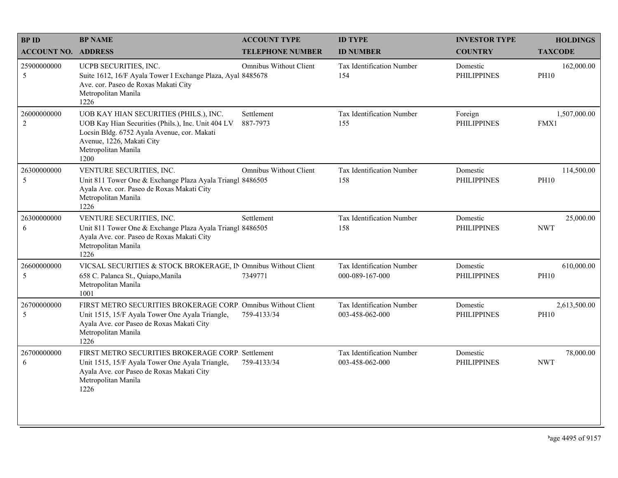| <b>BPID</b>                | <b>BP NAME</b>                                                                                                                                                                                          | <b>ACCOUNT TYPE</b>           | <b>ID TYPE</b>                               | <b>INVESTOR TYPE</b>           | <b>HOLDINGS</b>             |
|----------------------------|---------------------------------------------------------------------------------------------------------------------------------------------------------------------------------------------------------|-------------------------------|----------------------------------------------|--------------------------------|-----------------------------|
| <b>ACCOUNT NO. ADDRESS</b> |                                                                                                                                                                                                         | <b>TELEPHONE NUMBER</b>       | <b>ID NUMBER</b>                             | <b>COUNTRY</b>                 | <b>TAXCODE</b>              |
| 25900000000<br>5           | UCPB SECURITIES, INC.<br>Suite 1612, 16/F Ayala Tower I Exchange Plaza, Ayal 8485678<br>Ave. cor. Paseo de Roxas Makati City<br>Metropolitan Manila<br>1226                                             | <b>Omnibus Without Client</b> | Tax Identification Number<br>154             | Domestic<br><b>PHILIPPINES</b> | 162,000.00<br><b>PH10</b>   |
| 26000000000<br>$\sqrt{2}$  | UOB KAY HIAN SECURITIES (PHILS.), INC.<br>UOB Kay Hian Securities (Phils.), Inc. Unit 404 LV<br>Locsin Bldg. 6752 Ayala Avenue, cor. Makati<br>Avenue, 1226, Makati City<br>Metropolitan Manila<br>1200 | Settlement<br>887-7973        | Tax Identification Number<br>155             | Foreign<br><b>PHILIPPINES</b>  | 1,507,000.00<br>FMX1        |
| 26300000000<br>5           | VENTURE SECURITIES, INC.<br>Unit 811 Tower One & Exchange Plaza Ayala Triangl 8486505<br>Ayala Ave. cor. Paseo de Roxas Makati City<br>Metropolitan Manila<br>1226                                      | <b>Omnibus Without Client</b> | Tax Identification Number<br>158             | Domestic<br><b>PHILIPPINES</b> | 114,500.00<br><b>PH10</b>   |
| 26300000000<br>6           | VENTURE SECURITIES, INC.<br>Unit 811 Tower One & Exchange Plaza Ayala Triangl 8486505<br>Ayala Ave. cor. Paseo de Roxas Makati City<br>Metropolitan Manila<br>1226                                      | Settlement                    | Tax Identification Number<br>158             | Domestic<br><b>PHILIPPINES</b> | 25,000.00<br><b>NWT</b>     |
| 26600000000<br>5           | VICSAL SECURITIES & STOCK BROKERAGE, IN Omnibus Without Client<br>658 C. Palanca St., Quiapo, Manila<br>Metropolitan Manila<br>1001                                                                     | 7349771                       | Tax Identification Number<br>000-089-167-000 | Domestic<br><b>PHILIPPINES</b> | 610,000.00<br><b>PH10</b>   |
| 26700000000<br>5           | FIRST METRO SECURITIES BROKERAGE CORP. Omnibus Without Client<br>Unit 1515, 15/F Ayala Tower One Ayala Triangle,<br>Ayala Ave. cor Paseo de Roxas Makati City<br>Metropolitan Manila<br>1226            | 759-4133/34                   | Tax Identification Number<br>003-458-062-000 | Domestic<br><b>PHILIPPINES</b> | 2,613,500.00<br><b>PH10</b> |
| 26700000000<br>6           | FIRST METRO SECURITIES BROKERAGE CORP. Settlement<br>Unit 1515, 15/F Ayala Tower One Ayala Triangle,<br>Ayala Ave. cor Paseo de Roxas Makati City<br>Metropolitan Manila<br>1226                        | 759-4133/34                   | Tax Identification Number<br>003-458-062-000 | Domestic<br><b>PHILIPPINES</b> | 78,000.00<br><b>NWT</b>     |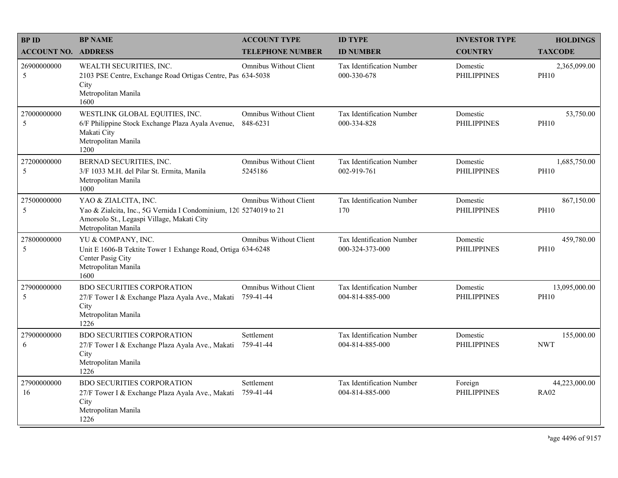| <b>BPID</b>                | <b>BP NAME</b>                                                                                                                                                 | <b>ACCOUNT TYPE</b>                        | <b>ID TYPE</b>                                      | <b>INVESTOR TYPE</b>           | <b>HOLDINGS</b>              |
|----------------------------|----------------------------------------------------------------------------------------------------------------------------------------------------------------|--------------------------------------------|-----------------------------------------------------|--------------------------------|------------------------------|
| <b>ACCOUNT NO. ADDRESS</b> |                                                                                                                                                                | <b>TELEPHONE NUMBER</b>                    | <b>ID NUMBER</b>                                    | <b>COUNTRY</b>                 | <b>TAXCODE</b>               |
| 26900000000<br>5           | WEALTH SECURITIES, INC.<br>2103 PSE Centre, Exchange Road Ortigas Centre, Pas 634-5038<br>City<br>Metropolitan Manila<br>1600                                  | <b>Omnibus Without Client</b>              | Tax Identification Number<br>000-330-678            | Domestic<br><b>PHILIPPINES</b> | 2,365,099.00<br><b>PH10</b>  |
| 27000000000<br>5           | WESTLINK GLOBAL EQUITIES, INC.<br>6/F Philippine Stock Exchange Plaza Ayala Avenue,<br>Makati City<br>Metropolitan Manila<br>1200                              | <b>Omnibus Without Client</b><br>848-6231  | Tax Identification Number<br>000-334-828            | Domestic<br><b>PHILIPPINES</b> | 53,750.00<br><b>PH10</b>     |
| 27200000000<br>5           | BERNAD SECURITIES, INC.<br>3/F 1033 M.H. del Pilar St. Ermita, Manila<br>Metropolitan Manila<br>1000                                                           | <b>Omnibus Without Client</b><br>5245186   | Tax Identification Number<br>002-919-761            | Domestic<br><b>PHILIPPINES</b> | 1,685,750.00<br><b>PH10</b>  |
| 27500000000<br>5           | YAO & ZIALCITA, INC.<br>Yao & Zialcita, Inc., 5G Vernida I Condominium, 120 5274019 to 21<br>Amorsolo St., Legaspi Village, Makati City<br>Metropolitan Manila | <b>Omnibus Without Client</b>              | Tax Identification Number<br>170                    | Domestic<br><b>PHILIPPINES</b> | 867,150.00<br><b>PH10</b>    |
| 27800000000<br>5           | YU & COMPANY, INC.<br>Unit E 1606-B Tektite Tower 1 Exhange Road, Ortiga 634-6248<br>Center Pasig City<br>Metropolitan Manila<br>1600                          | <b>Omnibus Without Client</b>              | Tax Identification Number<br>000-324-373-000        | Domestic<br><b>PHILIPPINES</b> | 459,780.00<br><b>PH10</b>    |
| 27900000000<br>5           | <b>BDO SECURITIES CORPORATION</b><br>27/F Tower I & Exchange Plaza Ayala Ave., Makati<br>City<br>Metropolitan Manila<br>1226                                   | <b>Omnibus Without Client</b><br>759-41-44 | Tax Identification Number<br>004-814-885-000        | Domestic<br><b>PHILIPPINES</b> | 13,095,000.00<br><b>PH10</b> |
| 27900000000<br>6           | <b>BDO SECURITIES CORPORATION</b><br>27/F Tower I & Exchange Plaza Ayala Ave., Makati<br>City<br>Metropolitan Manila<br>1226                                   | Settlement<br>759-41-44                    | <b>Tax Identification Number</b><br>004-814-885-000 | Domestic<br><b>PHILIPPINES</b> | 155,000.00<br><b>NWT</b>     |
| 27900000000<br>16          | <b>BDO SECURITIES CORPORATION</b><br>27/F Tower I & Exchange Plaza Ayala Ave., Makati<br>City<br>Metropolitan Manila<br>1226                                   | Settlement<br>759-41-44                    | Tax Identification Number<br>004-814-885-000        | Foreign<br><b>PHILIPPINES</b>  | 44,223,000.00<br><b>RA02</b> |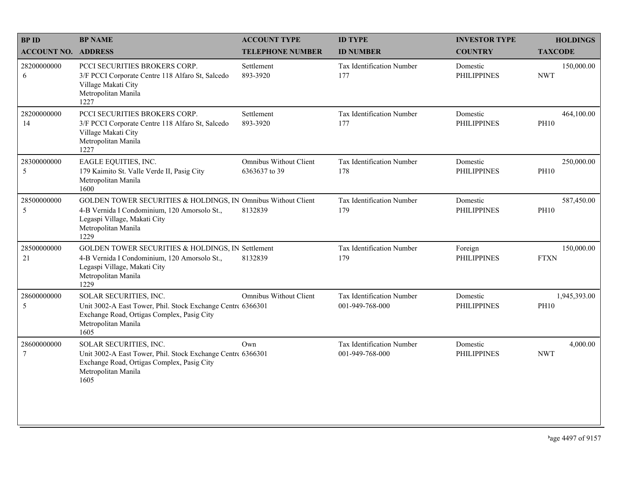| <b>BPID</b>                | <b>BP NAME</b>                                                                                                                                                               | <b>ACCOUNT TYPE</b>                            | <b>ID TYPE</b>                               | <b>INVESTOR TYPE</b>           | <b>HOLDINGS</b>             |
|----------------------------|------------------------------------------------------------------------------------------------------------------------------------------------------------------------------|------------------------------------------------|----------------------------------------------|--------------------------------|-----------------------------|
| <b>ACCOUNT NO. ADDRESS</b> |                                                                                                                                                                              | <b>TELEPHONE NUMBER</b>                        | <b>ID NUMBER</b>                             | <b>COUNTRY</b>                 | <b>TAXCODE</b>              |
| 28200000000<br>6           | PCCI SECURITIES BROKERS CORP.<br>3/F PCCI Corporate Centre 118 Alfaro St, Salcedo<br>Village Makati City<br>Metropolitan Manila<br>1227                                      | Settlement<br>893-3920                         | <b>Tax Identification Number</b><br>177      | Domestic<br><b>PHILIPPINES</b> | 150,000.00<br><b>NWT</b>    |
| 28200000000<br>14          | PCCI SECURITIES BROKERS CORP.<br>3/F PCCI Corporate Centre 118 Alfaro St, Salcedo<br>Village Makati City<br>Metropolitan Manila<br>1227                                      | Settlement<br>893-3920                         | Tax Identification Number<br>177             | Domestic<br><b>PHILIPPINES</b> | 464,100.00<br><b>PH10</b>   |
| 28300000000<br>5           | EAGLE EQUITIES, INC.<br>179 Kaimito St. Valle Verde II, Pasig City<br>Metropolitan Manila<br>1600                                                                            | <b>Omnibus Without Client</b><br>6363637 to 39 | Tax Identification Number<br>178             | Domestic<br><b>PHILIPPINES</b> | 250,000.00<br><b>PH10</b>   |
| 28500000000<br>5           | GOLDEN TOWER SECURITIES & HOLDINGS, IN Omnibus Without Client<br>4-B Vernida I Condominium, 120 Amorsolo St.,<br>Legaspi Village, Makati City<br>Metropolitan Manila<br>1229 | 8132839                                        | Tax Identification Number<br>179             | Domestic<br><b>PHILIPPINES</b> | 587,450.00<br><b>PH10</b>   |
| 28500000000<br>21          | GOLDEN TOWER SECURITIES & HOLDINGS, IN Settlement<br>4-B Vernida I Condominium, 120 Amorsolo St.,<br>Legaspi Village, Makati City<br>Metropolitan Manila<br>1229             | 8132839                                        | Tax Identification Number<br>179             | Foreign<br><b>PHILIPPINES</b>  | 150,000.00<br><b>FTXN</b>   |
| 28600000000<br>5           | SOLAR SECURITIES, INC.<br>Unit 3002-A East Tower, Phil. Stock Exchange Centre 6366301<br>Exchange Road, Ortigas Complex, Pasig City<br>Metropolitan Manila<br>1605           | <b>Omnibus Without Client</b>                  | Tax Identification Number<br>001-949-768-000 | Domestic<br><b>PHILIPPINES</b> | 1,945,393.00<br><b>PH10</b> |
| 28600000000<br>$\tau$      | SOLAR SECURITIES, INC.<br>Unit 3002-A East Tower, Phil. Stock Exchange Centre 6366301<br>Exchange Road, Ortigas Complex, Pasig City<br>Metropolitan Manila<br>1605           | Own                                            | Tax Identification Number<br>001-949-768-000 | Domestic<br><b>PHILIPPINES</b> | 4,000.00<br><b>NWT</b>      |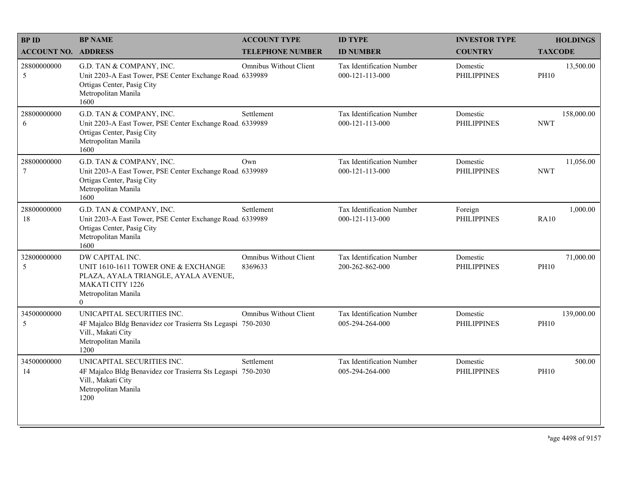| <b>BPID</b>                   | <b>BP NAME</b>                                                                                                                                               | <b>ACCOUNT TYPE</b>                      | <b>ID TYPE</b>                                      | <b>INVESTOR TYPE</b>           | <b>HOLDINGS</b>           |
|-------------------------------|--------------------------------------------------------------------------------------------------------------------------------------------------------------|------------------------------------------|-----------------------------------------------------|--------------------------------|---------------------------|
| <b>ACCOUNT NO. ADDRESS</b>    |                                                                                                                                                              | <b>TELEPHONE NUMBER</b>                  | <b>ID NUMBER</b>                                    | <b>COUNTRY</b>                 | <b>TAXCODE</b>            |
| 28800000000<br>5              | G.D. TAN & COMPANY, INC.<br>Unit 2203-A East Tower, PSE Center Exchange Road, 6339989<br>Ortigas Center, Pasig City<br>Metropolitan Manila<br>1600           | Omnibus Without Client                   | <b>Tax Identification Number</b><br>000-121-113-000 | Domestic<br><b>PHILIPPINES</b> | 13,500.00<br><b>PH10</b>  |
| 28800000000<br>6              | G.D. TAN & COMPANY, INC.<br>Unit 2203-A East Tower, PSE Center Exchange Road. 6339989<br>Ortigas Center, Pasig City<br>Metropolitan Manila<br>1600           | Settlement                               | Tax Identification Number<br>000-121-113-000        | Domestic<br><b>PHILIPPINES</b> | 158,000.00<br><b>NWT</b>  |
| 28800000000<br>$\overline{7}$ | G.D. TAN & COMPANY, INC.<br>Unit 2203-A East Tower, PSE Center Exchange Road 6339989<br>Ortigas Center, Pasig City<br>Metropolitan Manila<br>1600            | Own                                      | Tax Identification Number<br>000-121-113-000        | Domestic<br><b>PHILIPPINES</b> | 11,056.00<br><b>NWT</b>   |
| 28800000000<br>18             | G.D. TAN & COMPANY, INC.<br>Unit 2203-A East Tower, PSE Center Exchange Road, 6339989<br>Ortigas Center, Pasig City<br>Metropolitan Manila<br>1600           | Settlement                               | Tax Identification Number<br>000-121-113-000        | Foreign<br><b>PHILIPPINES</b>  | 1,000.00<br><b>RA10</b>   |
| 32800000000<br>5              | DW CAPITAL INC.<br>UNIT 1610-1611 TOWER ONE & EXCHANGE<br>PLAZA, AYALA TRIANGLE, AYALA AVENUE,<br><b>MAKATI CITY 1226</b><br>Metropolitan Manila<br>$\Omega$ | <b>Omnibus Without Client</b><br>8369633 | Tax Identification Number<br>200-262-862-000        | Domestic<br><b>PHILIPPINES</b> | 71,000.00<br><b>PH10</b>  |
| 34500000000<br>$\sqrt{5}$     | UNICAPITAL SECURITIES INC.<br>4F Majalco Bldg Benavidez cor Trasierra Sts Legaspi 750-2030<br>Vill., Makati City<br>Metropolitan Manila<br>1200              | <b>Omnibus Without Client</b>            | Tax Identification Number<br>005-294-264-000        | Domestic<br><b>PHILIPPINES</b> | 139,000.00<br><b>PH10</b> |
| 34500000000<br>14             | UNICAPITAL SECURITIES INC.<br>4F Majalco Bldg Benavidez cor Trasierra Sts Legaspi 750-2030<br>Vill., Makati City<br>Metropolitan Manila<br>1200              | Settlement                               | Tax Identification Number<br>005-294-264-000        | Domestic<br><b>PHILIPPINES</b> | 500.00<br><b>PH10</b>     |